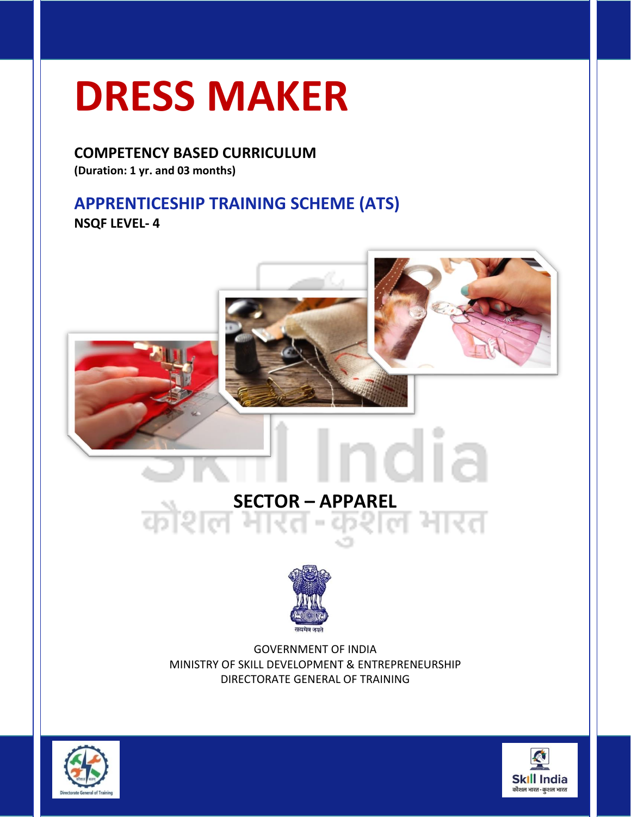### **DRESS MAKER**

**COMPETENCY BASED CURRICULUM (Duration: 1 yr. and 03 months)**

### **APPRENTICESHIP TRAINING SCHEME (ATS)**

**NSQF LEVEL- 4**





GOVERNMENT OF INDIA MINISTRY OF SKILL DEVELOPMENT & ENTREPRENEURSHIP DIRECTORATE GENERAL OF TRAINING



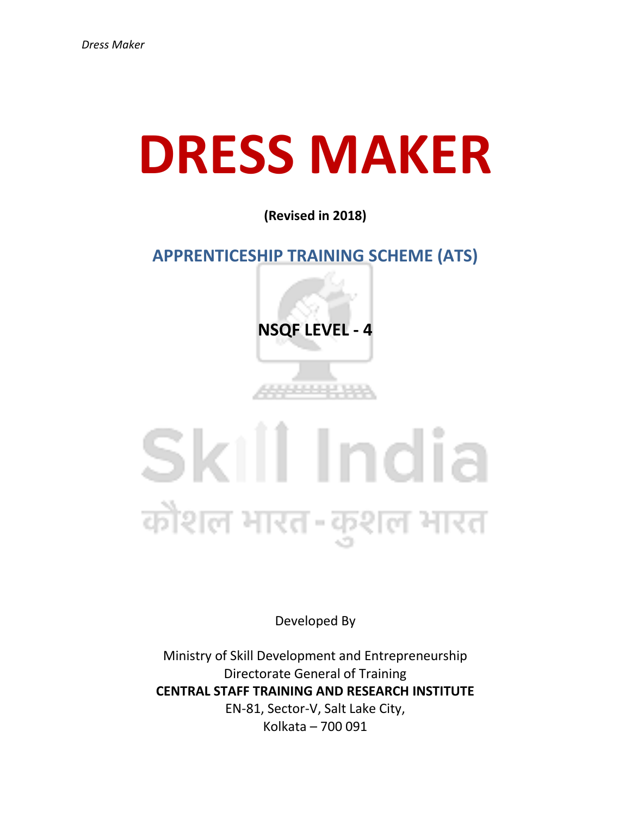### **DRESS MAKER**

**(Revised in 2018)**

**APPRENTICESHIP TRAINING SCHEME (ATS)**

**NSQF LEVEL - 4**

والمواسع المراجع المراجع

## Skill India कोशल भारत-कुशल भारत

Developed By

Ministry of Skill Development and Entrepreneurship Directorate General of Training **CENTRAL STAFF TRAINING AND RESEARCH INSTITUTE** EN-81, Sector-V, Salt Lake City, Kolkata – 700 091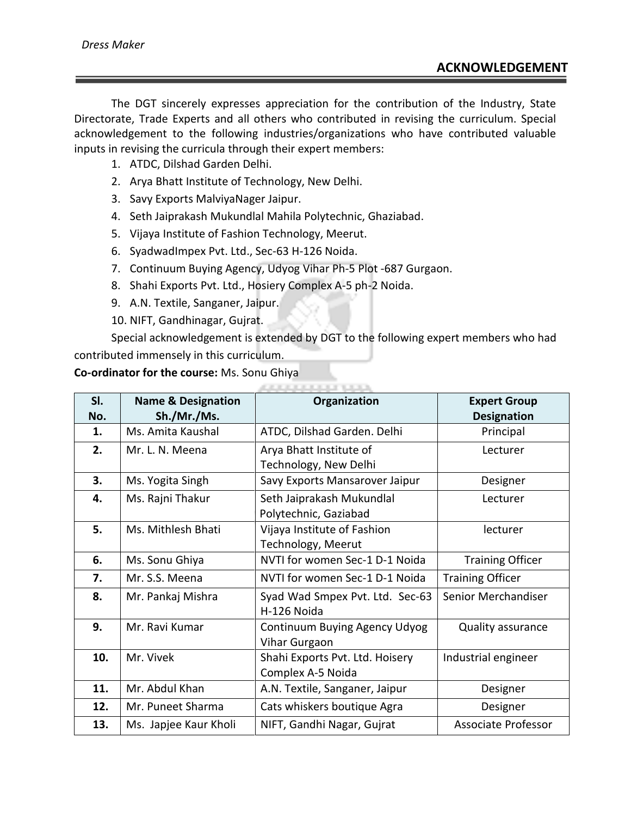The DGT sincerely expresses appreciation for the contribution of the Industry, State Directorate, Trade Experts and all others who contributed in revising the curriculum. Special acknowledgement to the following industries/organizations who have contributed valuable inputs in revising the curricula through their expert members:

- 1. ATDC, Dilshad Garden Delhi.
- 2. Arya Bhatt Institute of Technology, New Delhi.
- 3. Savy Exports MalviyaNager Jaipur.
- 4. Seth Jaiprakash Mukundlal Mahila Polytechnic, Ghaziabad.
- 5. Vijaya Institute of Fashion Technology, Meerut.
- 6. SyadwadImpex Pvt. Ltd., Sec-63 H-126 Noida.
- 7. Continuum Buying Agency, Udyog Vihar Ph-5 Plot -687 Gurgaon.
- 8. Shahi Exports Pvt. Ltd., Hosiery Complex A-5 ph-2 Noida.
- 9. A.N. Textile, Sanganer, Jaipur.
- 10. NIFT, Gandhinagar, Gujrat.

Special acknowledgement is extended by DGT to the following expert members who had contributed immensely in this curriculum.

the control of the control of the

**Co-ordinator for the course:** Ms. Sonu Ghiya

| SI. | <b>Name &amp; Designation</b> | Organization                    | <b>Expert Group</b>        |  |
|-----|-------------------------------|---------------------------------|----------------------------|--|
| No. | Sh./Mr./Ms.                   |                                 | <b>Designation</b>         |  |
| 1.  | Ms. Amita Kaushal             | ATDC, Dilshad Garden. Delhi     | Principal                  |  |
| 2.  | Mr. L. N. Meena               | Arya Bhatt Institute of         | Lecturer                   |  |
|     |                               | Technology, New Delhi           |                            |  |
| 3.  | Ms. Yogita Singh              | Savy Exports Mansarover Jaipur  | Designer                   |  |
| 4.  | Ms. Rajni Thakur              | Seth Jaiprakash Mukundlal       | Lecturer                   |  |
|     |                               | Polytechnic, Gaziabad           |                            |  |
| 5.  | Ms. Mithlesh Bhati            | Vijaya Institute of Fashion     | lecturer                   |  |
|     |                               | Technology, Meerut              |                            |  |
| 6.  | Ms. Sonu Ghiya                | NVTI for women Sec-1 D-1 Noida  | <b>Training Officer</b>    |  |
| 7.  | Mr. S.S. Meena                | NVTI for women Sec-1 D-1 Noida  | <b>Training Officer</b>    |  |
| 8.  | Mr. Pankaj Mishra             | Syad Wad Smpex Pvt. Ltd. Sec-63 | Senior Merchandiser        |  |
|     |                               | H-126 Noida                     |                            |  |
| 9.  | Mr. Ravi Kumar                | Continuum Buying Agency Udyog   | Quality assurance          |  |
|     |                               | Vihar Gurgaon                   |                            |  |
| 10. | Mr. Vivek                     | Shahi Exports Pvt. Ltd. Hoisery | Industrial engineer        |  |
|     |                               | Complex A-5 Noida               |                            |  |
| 11. | Mr. Abdul Khan                | A.N. Textile, Sanganer, Jaipur  | Designer                   |  |
| 12. | Mr. Puneet Sharma             | Cats whiskers boutique Agra     | Designer                   |  |
| 13. | Ms. Japjee Kaur Kholi         | NIFT, Gandhi Nagar, Gujrat      | <b>Associate Professor</b> |  |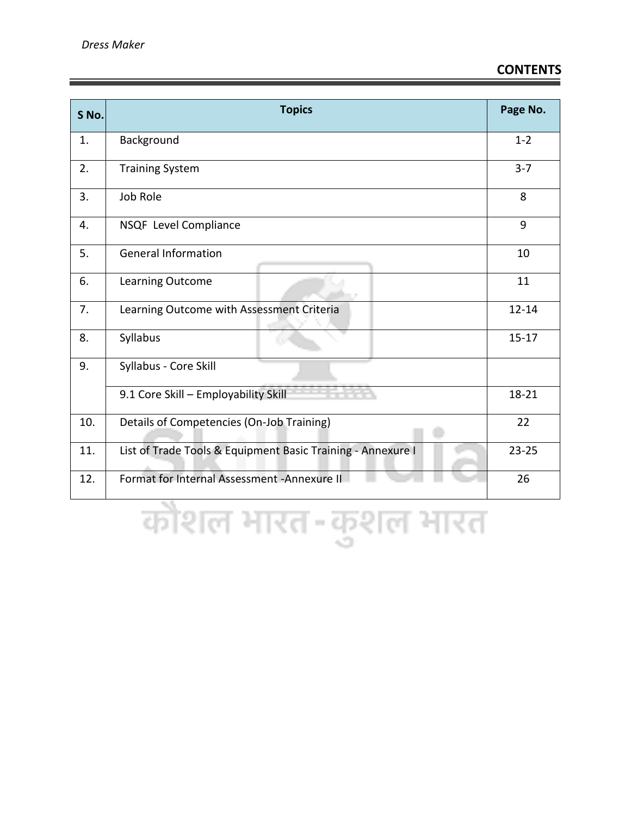| S No. | <b>Topics</b>                                               | Page No.  |
|-------|-------------------------------------------------------------|-----------|
| 1.    | Background                                                  | $1 - 2$   |
| 2.    | <b>Training System</b>                                      | $3 - 7$   |
| 3.    | Job Role                                                    | 8         |
| 4.    | NSQF Level Compliance                                       | 9         |
| 5.    | <b>General Information</b>                                  | 10        |
| 6.    | Learning Outcome                                            | 11        |
| 7.    | Learning Outcome with Assessment Criteria                   | $12 - 14$ |
| 8.    | Syllabus                                                    | $15 - 17$ |
| 9.    | Syllabus - Core Skill                                       |           |
|       | 9.1 Core Skill - Employability Skill                        | 18-21     |
| 10.   | Details of Competencies (On-Job Training)                   | 22        |
| 11.   | List of Trade Tools & Equipment Basic Training - Annexure I | $23 - 25$ |
| 12.   | Format for Internal Assessment - Annexure II                | 26        |

कौशल भारत-कुशल भारत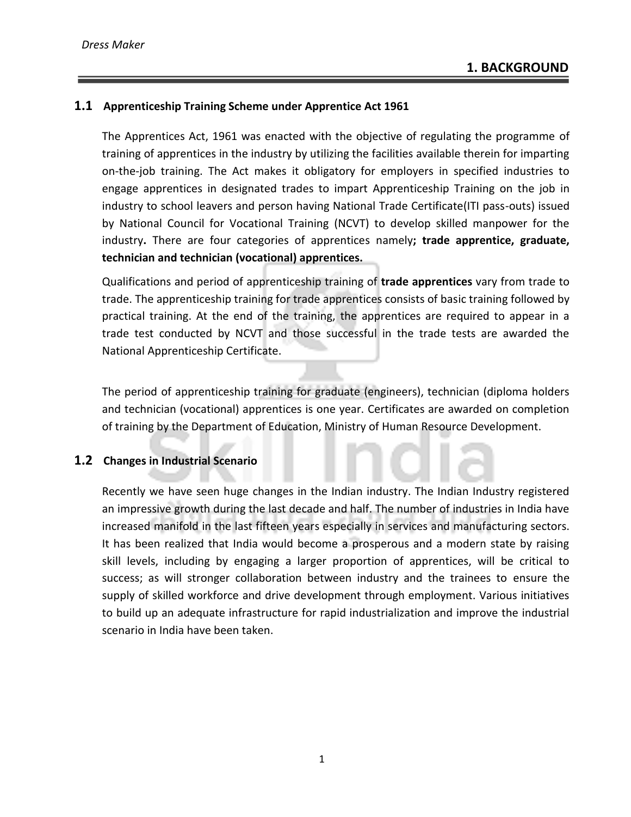#### **1.1 Apprenticeship Training Scheme under Apprentice Act 1961**

The Apprentices Act, 1961 was enacted with the objective of regulating the programme of training of apprentices in the industry by utilizing the facilities available therein for imparting on-the-job training. The Act makes it obligatory for employers in specified industries to engage apprentices in designated trades to impart Apprenticeship Training on the job in industry to school leavers and person having National Trade Certificate(ITI pass-outs) issued by National Council for Vocational Training (NCVT) to develop skilled manpower for the industry**.** There are four categories of apprentices namely**; trade apprentice, graduate, technician and technician (vocational) apprentices.** 

Qualifications and period of apprenticeship training of **trade apprentices** vary from trade to trade. The apprenticeship training for trade apprentices consists of basic training followed by practical training. At the end of the training, the apprentices are required to appear in a trade test conducted by NCVT and those successful in the trade tests are awarded the National Apprenticeship Certificate.

The period of apprenticeship training for graduate (engineers), technician (diploma holders and technician (vocational) apprentices is one year. Certificates are awarded on completion of training by the Department of Education, Ministry of Human Resource Development.

#### **1.2 Changes in Industrial Scenario**

Recently we have seen huge changes in the Indian industry. The Indian Industry registered an impressive growth during the last decade and half. The number of industries in India have increased manifold in the last fifteen years especially in services and manufacturing sectors. It has been realized that India would become a prosperous and a modern state by raising skill levels, including by engaging a larger proportion of apprentices, will be critical to success; as will stronger collaboration between industry and the trainees to ensure the supply of skilled workforce and drive development through employment. Various initiatives to build up an adequate infrastructure for rapid industrialization and improve the industrial scenario in India have been taken.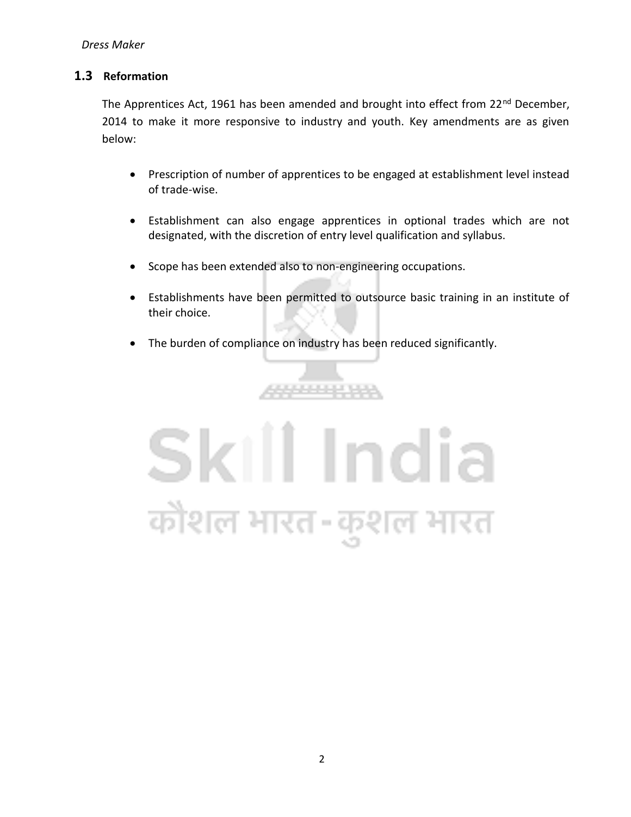#### **1.3 Reformation**

The Apprentices Act, 1961 has been amended and brought into effect from  $22^{nd}$  December, 2014 to make it more responsive to industry and youth. Key amendments are as given below:

- Prescription of number of apprentices to be engaged at establishment level instead of trade-wise.
- Establishment can also engage apprentices in optional trades which are not designated, with the discretion of entry level qualification and syllabus.
- Scope has been extended also to non-engineering occupations.
- Establishments have been permitted to outsource basic training in an institute of their choice.
- The burden of compliance on industry has been reduced significantly.

*<u> 1919 - 1920 - 1920</u>* 

# Skill India कोशल भारत-कुशल भारत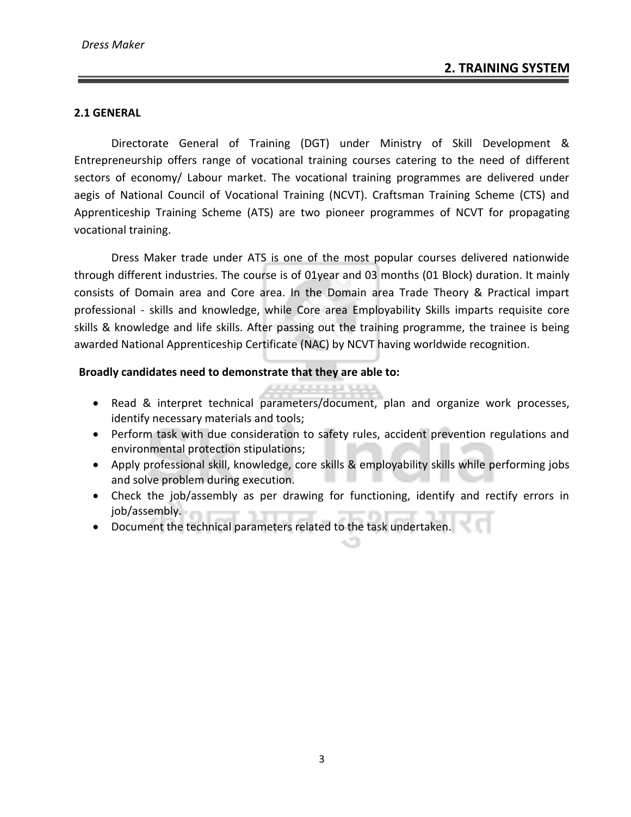#### **2.1 GENERAL**

Directorate General of Training (DGT) under Ministry of Skill Development & Entrepreneurship offers range of vocational training courses catering to the need of different sectors of economy/ Labour market. The vocational training programmes are delivered under aegis of National Council of Vocational Training (NCVT). Craftsman Training Scheme (CTS) and Apprenticeship Training Scheme (ATS) are two pioneer programmes of NCVT for propagating vocational training.

Dress Maker trade under ATS is one of the most popular courses delivered nationwide through different industries. The course is of 01year and 03 months (01 Block) duration. It mainly consists of Domain area and Core area. In the Domain area Trade Theory & Practical impart professional - skills and knowledge, while Core area Employability Skills imparts requisite core skills & knowledge and life skills. After passing out the training programme, the trainee is being awarded National Apprenticeship Certificate (NAC) by NCVT having worldwide recognition.

#### **Broadly candidates need to demonstrate that they are able to:**

- Read & interpret technical parameters/document, plan and organize work processes, identify necessary materials and tools;
- Perform task with due consideration to safety rules, accident prevention regulations and environmental protection stipulations;
- Apply professional skill, knowledge, core skills & employability skills while performing jobs and solve problem during execution.
- Check the job/assembly as per drawing for functioning, identify and rectify errors in job/assembly.
- Document the technical parameters related to the task undertaken.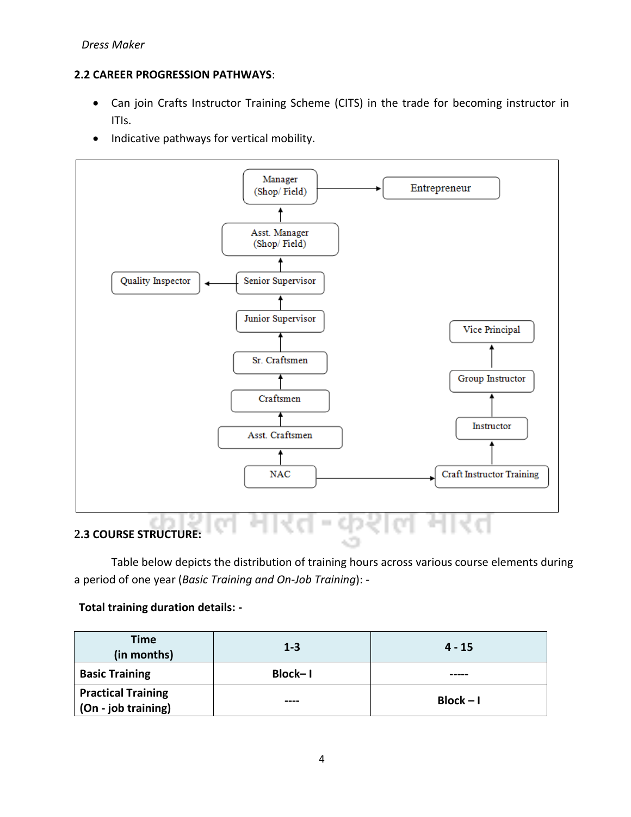#### **2.2 CAREER PROGRESSION PATHWAYS**:

- Can join Crafts Instructor Training Scheme (CITS) in the trade for becoming instructor in ITIs.
- Indicative pathways for vertical mobility.



Table below depicts the distribution of training hours across various course elements during a period of one year (*Basic Training and On-Job Training*): -

#### **Total training duration details: -**

| <b>Time</b><br>(in months)                       | $1 - 3$ | $4 - 15$    |
|--------------------------------------------------|---------|-------------|
| <b>Basic Training</b>                            | Block-1 |             |
| <b>Practical Training</b><br>(On - job training) | ----    | $Block - I$ |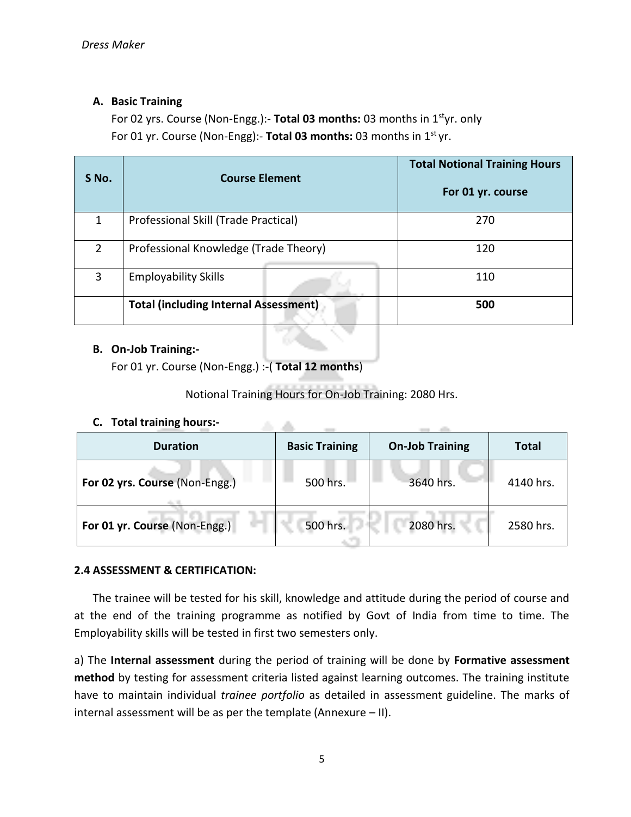#### **A. Basic Training**

For 02 yrs. Course (Non-Engg.):- **Total 03 months:** 03 months in 1styr. only For 01 yr. Course (Non-Engg):- Total 03 months: 03 months in 1<sup>st</sup> yr.

| S No. | <b>Course Element</b>                        | <b>Total Notional Training Hours</b><br>For 01 yr. course |
|-------|----------------------------------------------|-----------------------------------------------------------|
| 1     | Professional Skill (Trade Practical)         | 270                                                       |
| 2     | Professional Knowledge (Trade Theory)        | 120                                                       |
| 3     | <b>Employability Skills</b>                  | 110                                                       |
|       | <b>Total (including Internal Assessment)</b> | 500                                                       |

#### **B. On-Job Training:-**

For 01 yr. Course (Non-Engg.) :-( **Total 12 months**)

Notional Training Hours for On-Job Training: 2080 Hrs.

人名

#### **C. Total training hours:-**

| <b>Duration</b>                | <b>Basic Training</b> | <b>On-Job Training</b> | <b>Total</b> |
|--------------------------------|-----------------------|------------------------|--------------|
| For 02 yrs. Course (Non-Engg.) | 500 hrs.              | 3640 hrs.              | 4140 hrs.    |
| For 01 yr. Course (Non-Engg.)  | 500 hrs.              | 2080 hrs.              | 2580 hrs.    |

#### **2.4 ASSESSMENT & CERTIFICATION:**

The trainee will be tested for his skill, knowledge and attitude during the period of course and at the end of the training programme as notified by Govt of India from time to time. The Employability skills will be tested in first two semesters only.

a) The **Internal assessment** during the period of training will be done by **Formative assessment method** by testing for assessment criteria listed against learning outcomes. The training institute have to maintain individual *trainee portfolio* as detailed in assessment guideline. The marks of internal assessment will be as per the template (Annexure – II).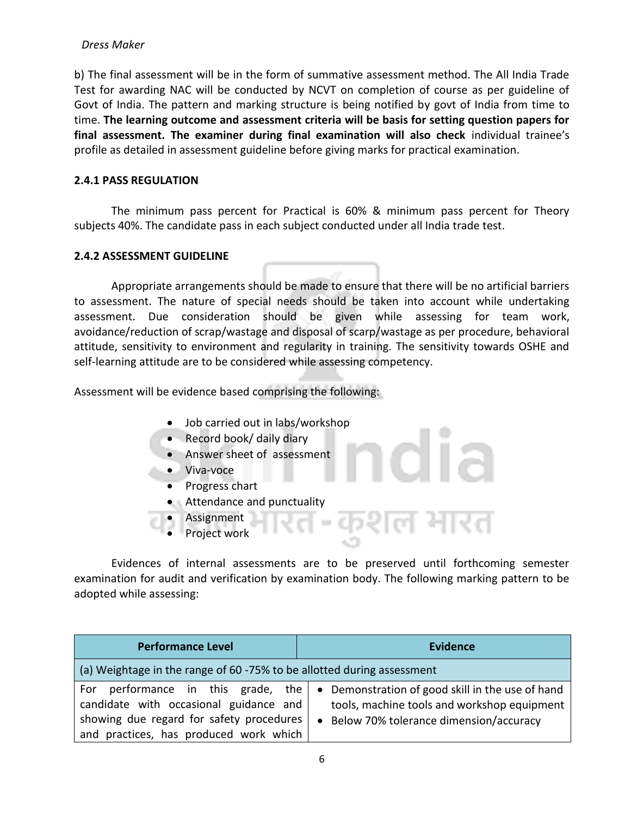#### *Dress Maker*

b) The final assessment will be in the form of summative assessment method. The All India Trade Test for awarding NAC will be conducted by NCVT on completion of course as per guideline of Govt of India. The pattern and marking structure is being notified by govt of India from time to time. **The learning outcome and assessment criteria will be basis for setting question papers for final assessment. The examiner during final examination will also check** individual trainee's profile as detailed in assessment guideline before giving marks for practical examination.

#### **2.4.1 PASS REGULATION**

The minimum pass percent for Practical is 60% & minimum pass percent for Theory subjects 40%. The candidate pass in each subject conducted under all India trade test.

#### **2.4.2 ASSESSMENT GUIDELINE**

Appropriate arrangements should be made to ensure that there will be no artificial barriers to assessment. The nature of special needs should be taken into account while undertaking assessment. Due consideration should be given while assessing for team work, avoidance/reduction of scrap/wastage and disposal of scarp/wastage as per procedure, behavioral attitude, sensitivity to environment and regularity in training. The sensitivity towards OSHE and self-learning attitude are to be considered while assessing competency.

Assessment will be evidence based comprising the following:

- Job carried out in labs/workshop
- Record book/ daily diary
- Answer sheet of assessment
- Viva-voce
- Progress chart
- Attendance and punctuality
- **Assignment**
- Project work

Evidences of internal assessments are to be preserved until forthcoming semester examination for audit and verification by examination body. The following marking pattern to be adopted while assessing:

| <b>Performance Level</b>                                                                                                                                              | <b>Evidence</b>                                                                                                                                        |
|-----------------------------------------------------------------------------------------------------------------------------------------------------------------------|--------------------------------------------------------------------------------------------------------------------------------------------------------|
| $\mid$ (a) Weightage in the range of 60 -75% to be allotted during assessment                                                                                         |                                                                                                                                                        |
| performance in this grade, the<br>For<br>candidate with occasional guidance and<br>showing due regard for safety procedures<br>and practices, has produced work which | • Demonstration of good skill in the use of hand<br>tools, machine tools and workshop equipment<br>Below 70% tolerance dimension/accuracy<br>$\bullet$ |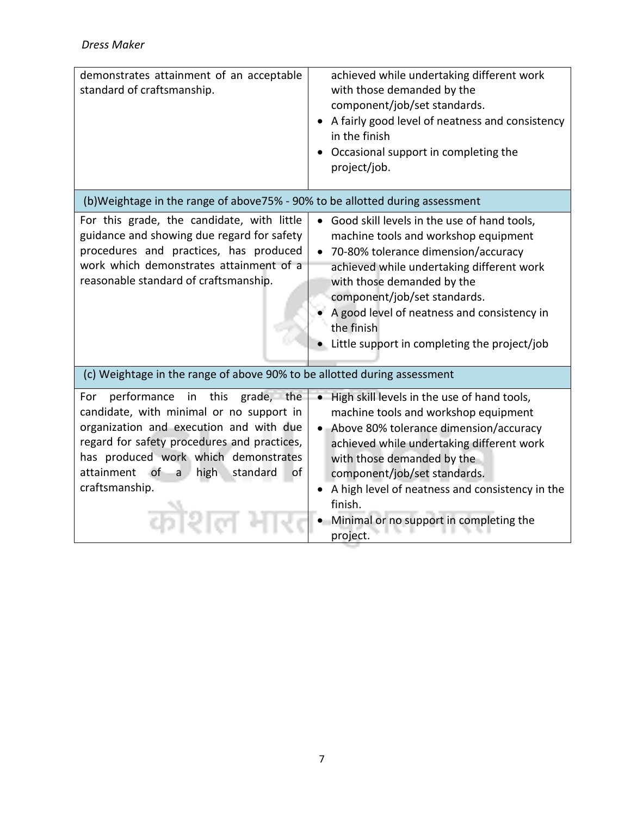| demonstrates attainment of an acceptable<br>standard of craftsmanship.                                                                                                                                                                                                                                 | achieved while undertaking different work<br>with those demanded by the<br>component/job/set standards.<br>A fairly good level of neatness and consistency<br>in the finish<br>Occasional support in completing the<br>project/job.                                                                                                                               |
|--------------------------------------------------------------------------------------------------------------------------------------------------------------------------------------------------------------------------------------------------------------------------------------------------------|-------------------------------------------------------------------------------------------------------------------------------------------------------------------------------------------------------------------------------------------------------------------------------------------------------------------------------------------------------------------|
| (b)Weightage in the range of above75% - 90% to be allotted during assessment                                                                                                                                                                                                                           |                                                                                                                                                                                                                                                                                                                                                                   |
| For this grade, the candidate, with little<br>guidance and showing due regard for safety<br>procedures and practices, has produced<br>work which demonstrates attainment of a<br>reasonable standard of craftsmanship.                                                                                 | Good skill levels in the use of hand tools,<br>machine tools and workshop equipment<br>70-80% tolerance dimension/accuracy<br>achieved while undertaking different work<br>with those demanded by the<br>component/job/set standards.<br>A good level of neatness and consistency in<br>the finish<br>• Little support in completing the project/job              |
| (c) Weightage in the range of above 90% to be allotted during assessment                                                                                                                                                                                                                               |                                                                                                                                                                                                                                                                                                                                                                   |
| in this<br>grade, the<br>performance<br>For<br>candidate, with minimal or no support in<br>organization and execution and with due<br>regard for safety procedures and practices,<br>has produced work which demonstrates<br>attainment of<br>high<br>standard<br>of<br>$\mathsf{a}$<br>craftsmanship. | • High skill levels in the use of hand tools,<br>machine tools and workshop equipment<br>• Above 80% tolerance dimension/accuracy<br>achieved while undertaking different work<br>with those demanded by the<br>component/job/set standards.<br>A high level of neatness and consistency in the<br>finish.<br>Minimal or no support in completing the<br>project. |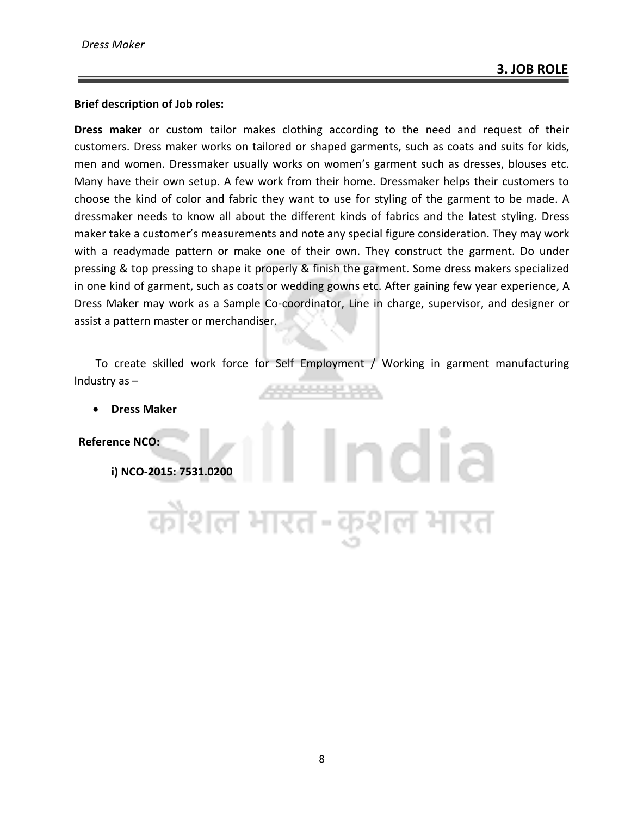#### **Brief description of Job roles:**

**Dress maker** or custom tailor makes clothing according to the need and request of their customers. Dress maker works on tailored or shaped garments, such as coats and suits for kids, men and women. Dressmaker usually works on women's garment such as dresses, blouses etc. Many have their own setup. A few work from their home. Dressmaker helps their customers to choose the kind of color and fabric they want to use for styling of the garment to be made. A dressmaker needs to know all about the different kinds of fabrics and the latest styling. Dress maker take a customer's measurements and note any special figure consideration. They may work with a readymade pattern or make one of their own. They construct the garment. Do under pressing & top pressing to shape it properly & finish the garment. Some dress makers specialized in one kind of garment, such as coats or wedding gowns etc. After gaining few year experience, A Dress Maker may work as a Sample Co-coordinator, Line in charge, supervisor, and designer or assist a pattern master or merchandiser.

To create skilled work force for Self Employment / Working in garment manufacturing Industry as – 444444444

कोशल भारत-कशल भारत

India

- **Dress Maker**
- **Reference NCO:**

**i) NCO-2015: 7531.0200**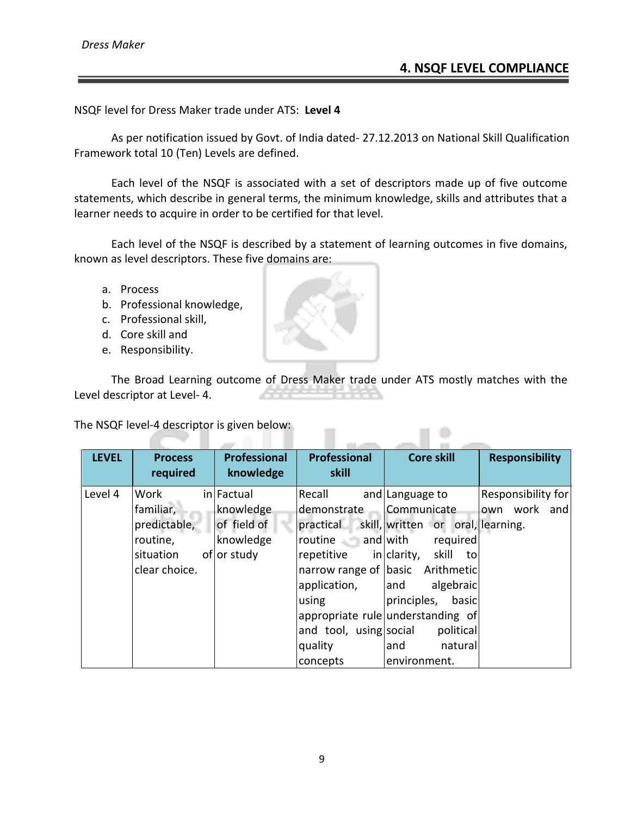NSQF level for Dress Maker trade under ATS: **Level 4**

As per notification issued by Govt. of India dated- 27.12.2013 on National Skill Qualification Framework total 10 (Ten) Levels are defined.

Each level of the NSQF is associated with a set of descriptors made up of five outcome statements, which describe in general terms, the minimum knowledge, skills and attributes that a learner needs to acquire in order to be certified for that level.

Each level of the NSQF is described by a statement of learning outcomes in five domains, known as level descriptors. These five domains are:

- a. Process
- b. Professional knowledge,
- c. Professional skill,
- d. Core skill and
- e. Responsibility.

The Broad Learning outcome of Dress Maker trade under ATS mostly matches with the Level descriptor at Level- 4.

The NSQF level-4 descriptor is given below:

| <b>LEVEL</b> | <b>Process</b><br>required | <b>Professional</b><br>knowledge | Professional<br>skill                       |                 | <b>Core skill</b> |           | <b>Responsibility</b> |  |
|--------------|----------------------------|----------------------------------|---------------------------------------------|-----------------|-------------------|-----------|-----------------------|--|
| Level 4      | Work                       | in Factual                       | Recall                                      | and Language to |                   |           | Responsibility for    |  |
|              | familiar,                  | knowledge                        | demonstrate                                 | Communicate     |                   |           | own work and          |  |
|              | predictable,               | of field of                      | practical skill, written or oral, learning. |                 |                   |           |                       |  |
|              | routine,                   | knowledge                        | routine and with                            |                 |                   | required  |                       |  |
|              | situation                  | of or study                      | repetitive                                  | $in$ clarity,   | skill             | to        |                       |  |
|              | clear choice.              |                                  | narrow range of basic Arithmetic            |                 |                   |           |                       |  |
|              |                            |                                  | application,                                | and             |                   | algebraic |                       |  |
|              |                            |                                  | using                                       | principles,     |                   | basic     |                       |  |
|              |                            |                                  | appropriate rule understanding of           |                 |                   |           |                       |  |
|              |                            |                                  | and tool, using social                      |                 |                   | political |                       |  |
|              |                            |                                  | quality                                     | and             |                   | natural   |                       |  |
|              |                            |                                  | concepts                                    | environment.    |                   |           |                       |  |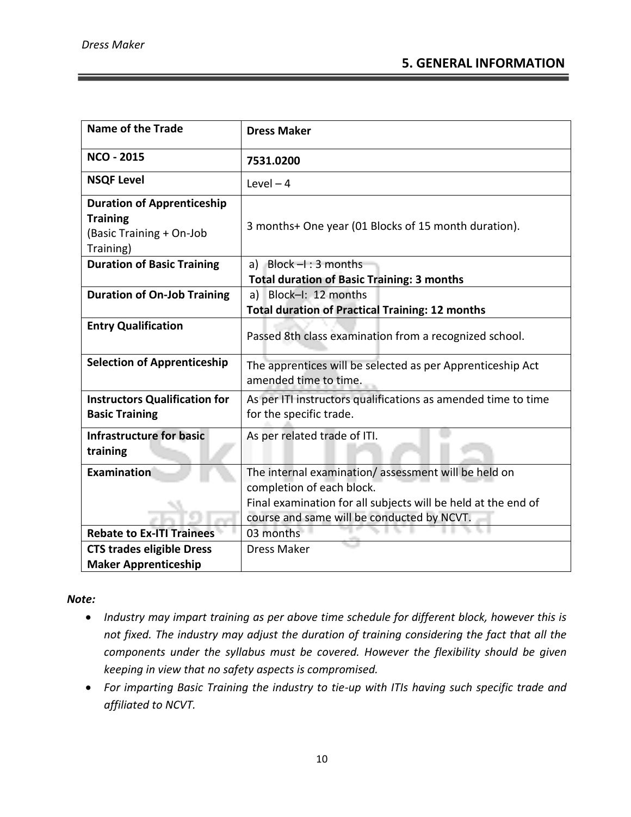#### *Note:*

- *Industry may impart training as per above time schedule for different block, however this is not fixed. The industry may adjust the duration of training considering the fact that all the components under the syllabus must be covered. However the flexibility should be given keeping in view that no safety aspects is compromised.*
- *For imparting Basic Training the industry to tie-up with ITIs having such specific trade and affiliated to NCVT.*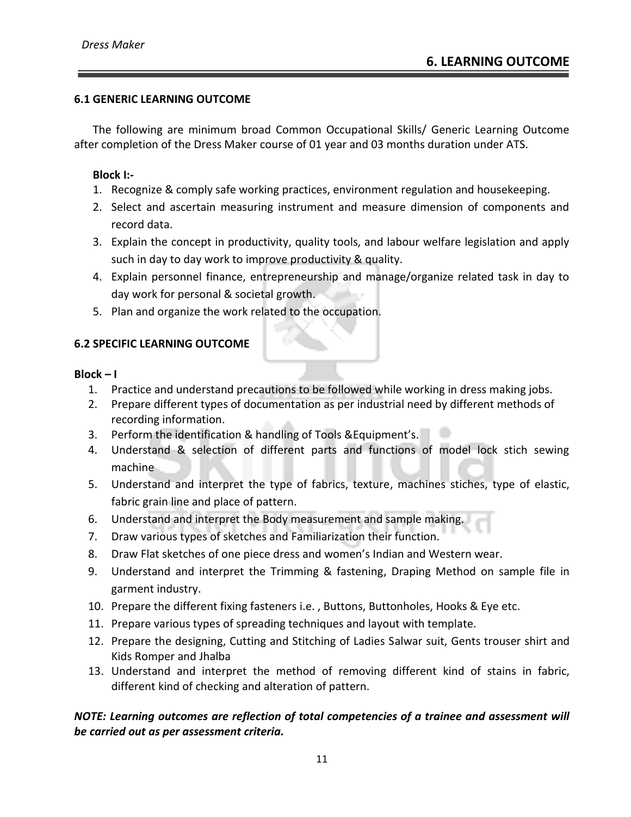#### **6.1 GENERIC LEARNING OUTCOME**

The following are minimum broad Common Occupational Skills/ Generic Learning Outcome after completion of the Dress Maker course of 01 year and 03 months duration under ATS.

#### **Block I:-**

- 1. Recognize & comply safe working practices, environment regulation and housekeeping.
- 2. Select and ascertain measuring instrument and measure dimension of components and record data.
- 3. Explain the concept in productivity, quality tools, and labour welfare legislation and apply such in day to day work to improve productivity & quality.
- 4. Explain personnel finance, entrepreneurship and manage/organize related task in day to day work for personal & societal growth.
- 5. Plan and organize the work related to the occupation.

#### **6.2 SPECIFIC LEARNING OUTCOME**

#### **Block – I**

- 1. Practice and understand precautions to be followed while working in dress making jobs.
- 2. Prepare different types of documentation as per industrial need by different methods of recording information.
- 3. Perform the identification & handling of Tools &Equipment's.
- 4. Understand & selection of different parts and functions of model lock stich sewing machine
- 5. Understand and interpret the type of fabrics, texture, machines stiches, type of elastic, fabric grain line and place of pattern.
- 6. Understand and interpret the Body measurement and sample making.
- 7. Draw various types of sketches and Familiarization their function.
- 8. Draw Flat sketches of one piece dress and women's Indian and Western wear.
- 9. Understand and interpret the Trimming & fastening, Draping Method on sample file in garment industry.
- 10. Prepare the different fixing fasteners i.e. , Buttons, Buttonholes, Hooks & Eye etc.
- 11. Prepare various types of spreading techniques and layout with template.
- 12. Prepare the designing, Cutting and Stitching of Ladies Salwar suit, Gents trouser shirt and Kids Romper and Jhalba
- 13. Understand and interpret the method of removing different kind of stains in fabric, different kind of checking and alteration of pattern.

*NOTE: Learning outcomes are reflection of total competencies of a trainee and assessment will be carried out as per assessment criteria.*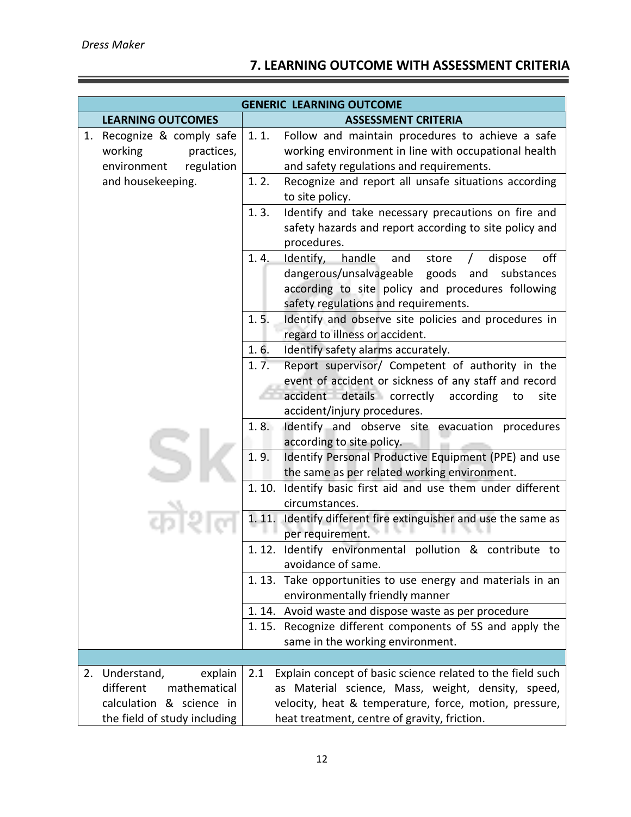### **7. LEARNING OUTCOME WITH ASSESSMENT CRITERIA**

|    |                                                                               | <b>GENERIC LEARNING OUTCOME</b>                                                                                                                                                                                                |
|----|-------------------------------------------------------------------------------|--------------------------------------------------------------------------------------------------------------------------------------------------------------------------------------------------------------------------------|
|    | <b>LEARNING OUTCOMES</b>                                                      | <b>ASSESSMENT CRITERIA</b>                                                                                                                                                                                                     |
| 1. | Recognize & comply safe<br>working<br>practices,<br>environment<br>regulation | 1.1.<br>Follow and maintain procedures to achieve a safe<br>working environment in line with occupational health<br>and safety regulations and requirements.                                                                   |
|    | and housekeeping.                                                             | Recognize and report all unsafe situations according<br>1.2.<br>to site policy.                                                                                                                                                |
|    |                                                                               | Identify and take necessary precautions on fire and<br>1.3.<br>safety hazards and report according to site policy and<br>procedures.                                                                                           |
|    |                                                                               | Identify,<br>1.4.<br>handle<br>and<br>store<br>dispose<br>off<br>$\sqrt{2}$<br>dangerous/unsalvageable goods<br>and<br>substances<br>according to site policy and procedures following<br>safety regulations and requirements. |
|    |                                                                               | Identify and observe site policies and procedures in<br>1.5.<br>regard to illness or accident.                                                                                                                                 |
|    |                                                                               | 1.6.<br>Identify safety alarms accurately.                                                                                                                                                                                     |
|    |                                                                               | Report supervisor/ Competent of authority in the<br>1.7.<br>event of accident or sickness of any staff and record<br>accident details correctly according<br>to<br>site<br>accident/injury procedures.                         |
|    |                                                                               | Identify and observe site evacuation procedures<br>1.8.<br>according to site policy.<br>1.9.<br>Identify Personal Productive Equipment (PPE) and use                                                                           |
|    |                                                                               | the same as per related working environment.                                                                                                                                                                                   |
|    |                                                                               | Identify basic first aid and use them under different<br>1.10.<br>circumstances.                                                                                                                                               |
|    |                                                                               | 1.11.<br>Identify different fire extinguisher and use the same as<br>per requirement.                                                                                                                                          |
|    |                                                                               | 1.12. Identify environmental pollution & contribute to<br>avoidance of same.                                                                                                                                                   |
|    |                                                                               | Take opportunities to use energy and materials in an<br>1.13.<br>environmentally friendly manner                                                                                                                               |
|    |                                                                               | 1.14. Avoid waste and dispose waste as per procedure                                                                                                                                                                           |
|    |                                                                               | Recognize different components of 5S and apply the<br>1. 15.<br>same in the working environment.                                                                                                                               |
|    |                                                                               |                                                                                                                                                                                                                                |
| 2. | Understand,<br>explain                                                        | Explain concept of basic science related to the field such<br>2.1                                                                                                                                                              |
|    | different<br>mathematical                                                     | as Material science, Mass, weight, density, speed,                                                                                                                                                                             |
|    | calculation & science in                                                      | velocity, heat & temperature, force, motion, pressure,                                                                                                                                                                         |
|    | the field of study including                                                  | heat treatment, centre of gravity, friction.                                                                                                                                                                                   |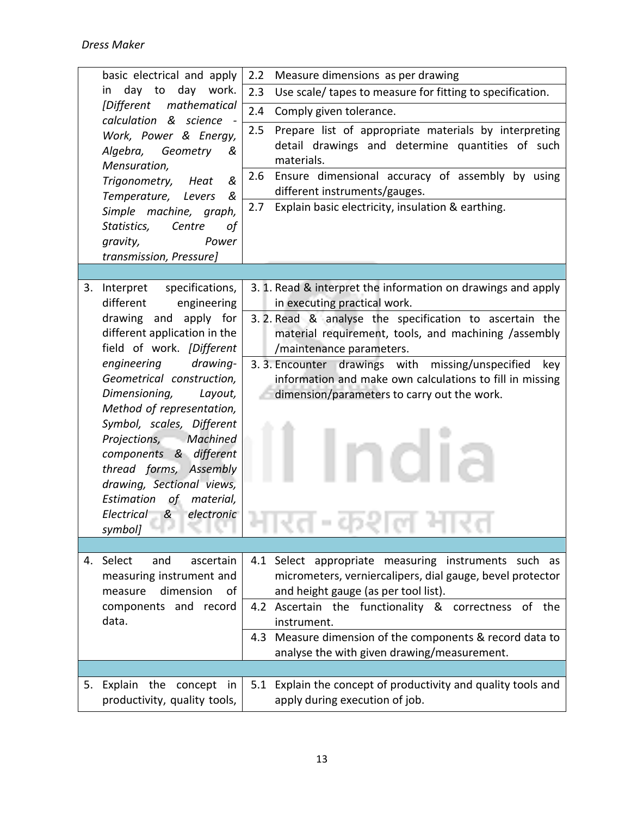| basic electrical and apply                                                                                                                                                                                                                                                                                                                                                                                                              | 2.2<br>Measure dimensions as per drawing                                                                                                                                                                                                                                                                                                                                                                           |
|-----------------------------------------------------------------------------------------------------------------------------------------------------------------------------------------------------------------------------------------------------------------------------------------------------------------------------------------------------------------------------------------------------------------------------------------|--------------------------------------------------------------------------------------------------------------------------------------------------------------------------------------------------------------------------------------------------------------------------------------------------------------------------------------------------------------------------------------------------------------------|
| day to<br>day<br>work.<br>in                                                                                                                                                                                                                                                                                                                                                                                                            | Use scale/ tapes to measure for fitting to specification.<br>2.3                                                                                                                                                                                                                                                                                                                                                   |
| <i><b>Different</b></i><br>mathematical<br>calculation & science -                                                                                                                                                                                                                                                                                                                                                                      | 2.4<br>Comply given tolerance.                                                                                                                                                                                                                                                                                                                                                                                     |
| Work, Power & Energy,<br>Algebra, Geometry<br>&<br>Mensuration,                                                                                                                                                                                                                                                                                                                                                                         | 2.5<br>Prepare list of appropriate materials by interpreting<br>detail drawings and determine quantities of such<br>materials.                                                                                                                                                                                                                                                                                     |
| &<br>Trigonometry,<br>Heat<br>&<br>Temperature, Levers                                                                                                                                                                                                                                                                                                                                                                                  | Ensure dimensional accuracy of assembly by using<br>2.6<br>different instruments/gauges.                                                                                                                                                                                                                                                                                                                           |
| Simple machine, graph,<br>Statistics,<br>Centre<br>оf<br>Power<br>gravity,<br>transmission, Pressure]                                                                                                                                                                                                                                                                                                                                   | Explain basic electricity, insulation & earthing.<br>2.7                                                                                                                                                                                                                                                                                                                                                           |
|                                                                                                                                                                                                                                                                                                                                                                                                                                         |                                                                                                                                                                                                                                                                                                                                                                                                                    |
| Interpret specifications,<br>3.<br>different<br>engineering<br>drawing and apply for<br>different application in the<br>field of work. [Different<br>drawing-<br>engineering<br>Geometrical construction,<br>Dimensioning,<br>Layout,<br>Method of representation,<br>Symbol, scales, Different<br>Projections, Machined<br>components & different<br>thread forms, Assembly<br>drawing, Sectional views,<br>Estimation<br>of material, | 3. 1. Read & interpret the information on drawings and apply<br>in executing practical work.<br>3. 2. Read & analyse the specification to ascertain the<br>material requirement, tools, and machining /assembly<br>/maintenance parameters.<br>3. 3. Encounter drawings with missing/unspecified<br>key<br>information and make own calculations to fill in missing<br>dimension/parameters to carry out the work. |
| electronic<br>Electrical<br>8 <sub>1</sub><br>symbol]                                                                                                                                                                                                                                                                                                                                                                                   |                                                                                                                                                                                                                                                                                                                                                                                                                    |
|                                                                                                                                                                                                                                                                                                                                                                                                                                         |                                                                                                                                                                                                                                                                                                                                                                                                                    |
| Select<br>ascertain<br>and<br>4.<br>measuring instrument and<br>dimension<br>0f<br>measure                                                                                                                                                                                                                                                                                                                                              | 4.1 Select appropriate measuring instruments such as<br>micrometers, verniercalipers, dial gauge, bevel protector<br>and height gauge (as per tool list).                                                                                                                                                                                                                                                          |
| components and record<br>data.                                                                                                                                                                                                                                                                                                                                                                                                          | 4.2 Ascertain the functionality & correctness of the<br>instrument.                                                                                                                                                                                                                                                                                                                                                |
|                                                                                                                                                                                                                                                                                                                                                                                                                                         | Measure dimension of the components & record data to<br>4.3<br>analyse the with given drawing/measurement.                                                                                                                                                                                                                                                                                                         |
|                                                                                                                                                                                                                                                                                                                                                                                                                                         |                                                                                                                                                                                                                                                                                                                                                                                                                    |
| Explain<br>the concept<br>in<br>5.<br>productivity, quality tools,                                                                                                                                                                                                                                                                                                                                                                      | Explain the concept of productivity and quality tools and<br>5.1<br>apply during execution of job.                                                                                                                                                                                                                                                                                                                 |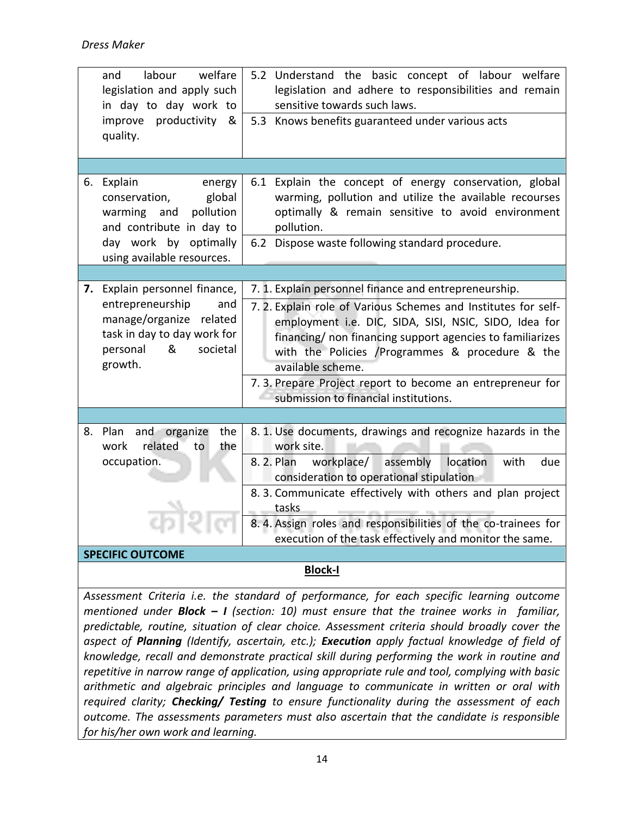#### *Dress Maker*

| labour welfare<br>and<br>legislation and apply such<br>in day to day work to<br>improve productivity &<br>quality.                                         | 5.2 Understand the basic concept of labour welfare<br>legislation and adhere to responsibilities and remain<br>sensitive towards such laws.<br>5.3 Knows benefits guaranteed under various acts                                                                                                                                                                                                                              |
|------------------------------------------------------------------------------------------------------------------------------------------------------------|------------------------------------------------------------------------------------------------------------------------------------------------------------------------------------------------------------------------------------------------------------------------------------------------------------------------------------------------------------------------------------------------------------------------------|
|                                                                                                                                                            |                                                                                                                                                                                                                                                                                                                                                                                                                              |
| 6. Explain<br>energy<br>global<br>conservation,<br>warming and<br>pollution<br>and contribute in day to<br>day work by optimally                           | 6.1 Explain the concept of energy conservation, global<br>warming, pollution and utilize the available recourses<br>optimally & remain sensitive to avoid environment<br>pollution.<br>6.2 Dispose waste following standard procedure.                                                                                                                                                                                       |
| using available resources.                                                                                                                                 |                                                                                                                                                                                                                                                                                                                                                                                                                              |
|                                                                                                                                                            |                                                                                                                                                                                                                                                                                                                                                                                                                              |
| 7. Explain personnel finance,<br>entrepreneurship<br>and<br>manage/organize related<br>task in day to day work for<br>personal<br>&<br>societal<br>growth. | 7. 1. Explain personnel finance and entrepreneurship.<br>7. 2. Explain role of Various Schemes and Institutes for self-<br>employment i.e. DIC, SIDA, SISI, NSIC, SIDO, Idea for<br>financing/ non financing support agencies to familiarizes<br>with the Policies /Programmes & procedure & the<br>available scheme.<br>7. 3. Prepare Project report to become an entrepreneur for<br>submission to financial institutions. |
|                                                                                                                                                            |                                                                                                                                                                                                                                                                                                                                                                                                                              |
| 8. Plan<br>and organize<br>the<br>related<br>work<br>the<br>to<br>occupation.                                                                              | 8. 1. Use documents, drawings and recognize hazards in the<br>work site.<br>assembly<br>8. 2. Plan<br>workplace/<br>location<br>with<br>due<br>consideration to operational stipulation<br>8.3. Communicate effectively with others and plan project<br>tasks<br>8.4. Assign roles and responsibilities of the co-trainees for<br>execution of the task effectively and monitor the same.                                    |
| <b>SPECIFIC OUTCOME</b>                                                                                                                                    |                                                                                                                                                                                                                                                                                                                                                                                                                              |
|                                                                                                                                                            | <b>Block-I</b>                                                                                                                                                                                                                                                                                                                                                                                                               |

*Assessment Criteria i.e. the standard of performance, for each specific learning outcome mentioned under Block – I (section: 10) must ensure that the trainee works in familiar, predictable, routine, situation of clear choice. Assessment criteria should broadly cover the aspect of Planning (Identify, ascertain, etc.); Execution apply factual knowledge of field of knowledge, recall and demonstrate practical skill during performing the work in routine and repetitive in narrow range of application, using appropriate rule and tool, complying with basic arithmetic and algebraic principles and language to communicate in written or oral with required clarity; Checking/ Testing to ensure functionality during the assessment of each outcome. The assessments parameters must also ascertain that the candidate is responsible for his/her own work and learning.*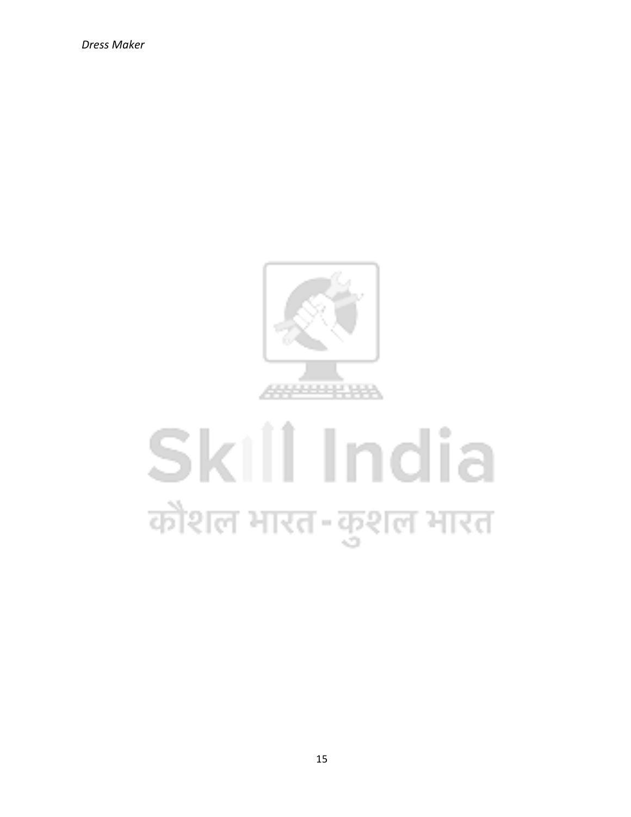

## Skill India कौशल भारत-कुशल भारत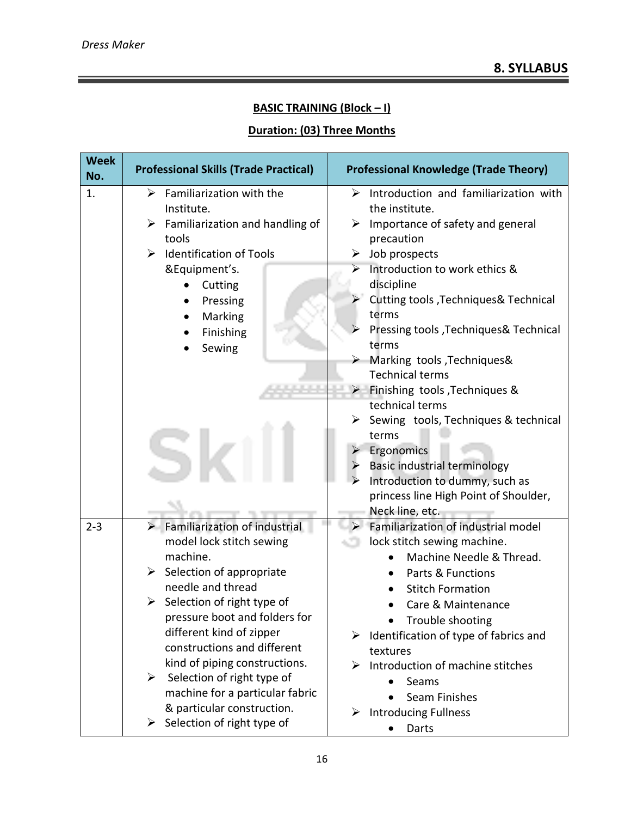#### **BASIC TRAINING (Block – I)**

#### **Duration: (03) Three Months**

| <b>Week</b><br>No. | <b>Professional Skills (Trade Practical)</b>            | <b>Professional Knowledge (Trade Theory)</b>                 |
|--------------------|---------------------------------------------------------|--------------------------------------------------------------|
| 1.                 | Familiarization with the<br>➤                           | Introduction and familiarization with<br>➤                   |
|                    | Institute.                                              | the institute.                                               |
|                    | Familiarization and handling of<br>➤                    | Importance of safety and general<br>➤                        |
|                    | tools                                                   | precaution                                                   |
|                    | <b>Identification of Tools</b><br>➤                     | Job prospects<br>➤                                           |
|                    | &Equipment's.                                           | Introduction to work ethics &                                |
|                    | Cutting                                                 | discipline                                                   |
|                    | Pressing                                                | Cutting tools , Techniques & Technical                       |
|                    | Marking                                                 | terms                                                        |
|                    | Finishing                                               | Pressing tools , Techniques & Technical<br>terms             |
|                    | Sewing                                                  | $\triangleright$ Marking tools, Techniques &                 |
|                    |                                                         | <b>Technical terms</b>                                       |
|                    |                                                         | Finishing tools, Techniques &<br>➤                           |
|                    |                                                         | technical terms                                              |
|                    |                                                         | Sewing tools, Techniques & technical                         |
|                    |                                                         | terms                                                        |
|                    |                                                         | Ergonomics                                                   |
|                    |                                                         | <b>Basic industrial terminology</b><br>$\blacktriangleright$ |
|                    |                                                         | $\blacktriangleright$<br>Introduction to dummy, such as      |
|                    |                                                         | princess line High Point of Shoulder,                        |
|                    |                                                         | Neck line, etc.                                              |
| $2 - 3$            | Familiarization of industrial<br>➤                      | Familiarization of industrial model<br>➤                     |
|                    | model lock stitch sewing                                | lock stitch sewing machine.                                  |
|                    | machine.                                                | Machine Needle & Thread.                                     |
|                    | $\triangleright$ Selection of appropriate               | Parts & Functions                                            |
|                    | needle and thread                                       | <b>Stitch Formation</b>                                      |
|                    | Selection of right type of<br>➤                         | Care & Maintenance                                           |
|                    | pressure boot and folders for                           | Trouble shooting<br>$\bullet$                                |
|                    | different kind of zipper<br>constructions and different | Identification of type of fabrics and                        |
|                    | kind of piping constructions.                           | textures                                                     |
|                    | Selection of right type of<br>➤                         | Introduction of machine stitches<br>⋗                        |
|                    | machine for a particular fabric                         | Seams                                                        |
|                    | & particular construction.                              | Seam Finishes                                                |
|                    | Selection of right type of<br>➤                         | <b>Introducing Fullness</b><br>➤                             |
|                    |                                                         | Darts<br>$\bullet$                                           |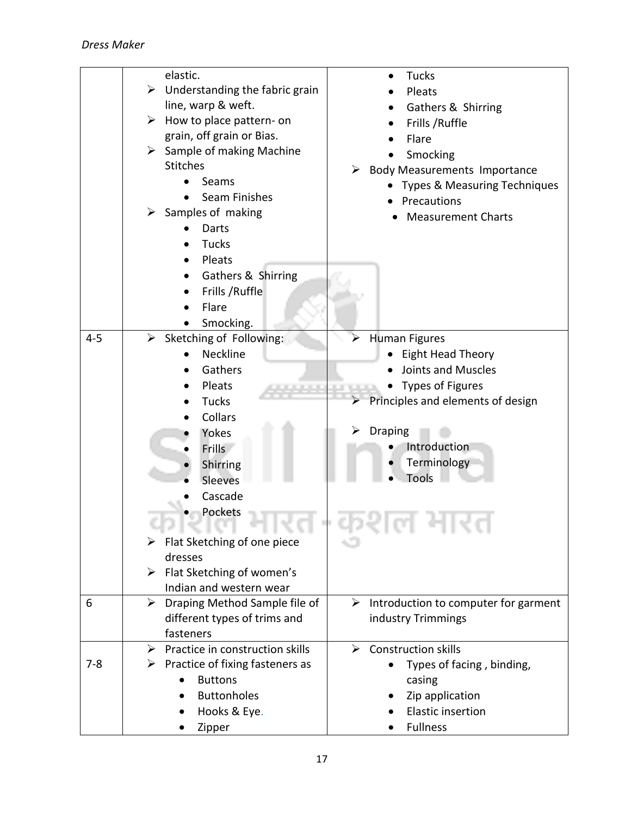| line, warp & weft.<br>Gathers & Shirring<br>$\triangleright$ How to place pattern- on<br>Frills / Ruffle<br>grain, off grain or Bias.<br>Flare<br>$\triangleright$ Sample of making Machine<br>Smocking<br><b>Stitches</b><br>$\triangleright$ Body Measurements Importance<br>Seams<br><b>Types &amp; Measuring Techniques</b><br><b>Seam Finishes</b><br>Precautions<br>$\triangleright$ Samples of making<br><b>Measurement Charts</b><br>Darts |
|----------------------------------------------------------------------------------------------------------------------------------------------------------------------------------------------------------------------------------------------------------------------------------------------------------------------------------------------------------------------------------------------------------------------------------------------------|
|                                                                                                                                                                                                                                                                                                                                                                                                                                                    |
|                                                                                                                                                                                                                                                                                                                                                                                                                                                    |
|                                                                                                                                                                                                                                                                                                                                                                                                                                                    |
|                                                                                                                                                                                                                                                                                                                                                                                                                                                    |
|                                                                                                                                                                                                                                                                                                                                                                                                                                                    |
|                                                                                                                                                                                                                                                                                                                                                                                                                                                    |
|                                                                                                                                                                                                                                                                                                                                                                                                                                                    |
| <b>Tucks</b>                                                                                                                                                                                                                                                                                                                                                                                                                                       |
| Pleats                                                                                                                                                                                                                                                                                                                                                                                                                                             |
| Gathers & Shirring                                                                                                                                                                                                                                                                                                                                                                                                                                 |
| Frills / Ruffle                                                                                                                                                                                                                                                                                                                                                                                                                                    |
| Flare                                                                                                                                                                                                                                                                                                                                                                                                                                              |
| Smocking.<br>$\bullet$                                                                                                                                                                                                                                                                                                                                                                                                                             |
| $\triangleright$ Sketching of Following:<br><b>Human Figures</b><br>$4 - 5$                                                                                                                                                                                                                                                                                                                                                                        |
| <b>Neckline</b><br><b>Eight Head Theory</b>                                                                                                                                                                                                                                                                                                                                                                                                        |
| Gathers<br><b>Joints and Muscles</b>                                                                                                                                                                                                                                                                                                                                                                                                               |
| Pleats<br><b>Types of Figures</b>                                                                                                                                                                                                                                                                                                                                                                                                                  |
| Principles and elements of design<br><b>Tucks</b>                                                                                                                                                                                                                                                                                                                                                                                                  |
| Collars                                                                                                                                                                                                                                                                                                                                                                                                                                            |
| <b>Draping</b><br>Yokes                                                                                                                                                                                                                                                                                                                                                                                                                            |
| Introduction<br><b>Frills</b>                                                                                                                                                                                                                                                                                                                                                                                                                      |
| Terminology<br>Shirring                                                                                                                                                                                                                                                                                                                                                                                                                            |
| <b>Tools</b><br>Sleeves                                                                                                                                                                                                                                                                                                                                                                                                                            |
| Cascade                                                                                                                                                                                                                                                                                                                                                                                                                                            |
| Pockets                                                                                                                                                                                                                                                                                                                                                                                                                                            |
| Flat Sketching of one piece                                                                                                                                                                                                                                                                                                                                                                                                                        |
| dresses                                                                                                                                                                                                                                                                                                                                                                                                                                            |
| Flat Sketching of women's<br>➤                                                                                                                                                                                                                                                                                                                                                                                                                     |
| Indian and western wear                                                                                                                                                                                                                                                                                                                                                                                                                            |
| $\triangleright$ Draping Method Sample file of<br>Introduction to computer for garment<br>6<br>➤                                                                                                                                                                                                                                                                                                                                                   |
| different types of trims and<br>industry Trimmings                                                                                                                                                                                                                                                                                                                                                                                                 |
| fasteners                                                                                                                                                                                                                                                                                                                                                                                                                                          |
| Practice in construction skills<br><b>Construction skills</b><br>↘<br>➤<br>$7 - 8$                                                                                                                                                                                                                                                                                                                                                                 |
| Practice of fixing fasteners as<br>➤<br>Types of facing, binding,<br>casing<br><b>Buttons</b>                                                                                                                                                                                                                                                                                                                                                      |
| <b>Buttonholes</b><br>Zip application                                                                                                                                                                                                                                                                                                                                                                                                              |
| <b>Elastic insertion</b><br>Hooks & Eye.                                                                                                                                                                                                                                                                                                                                                                                                           |
| <b>Fullness</b><br>Zipper                                                                                                                                                                                                                                                                                                                                                                                                                          |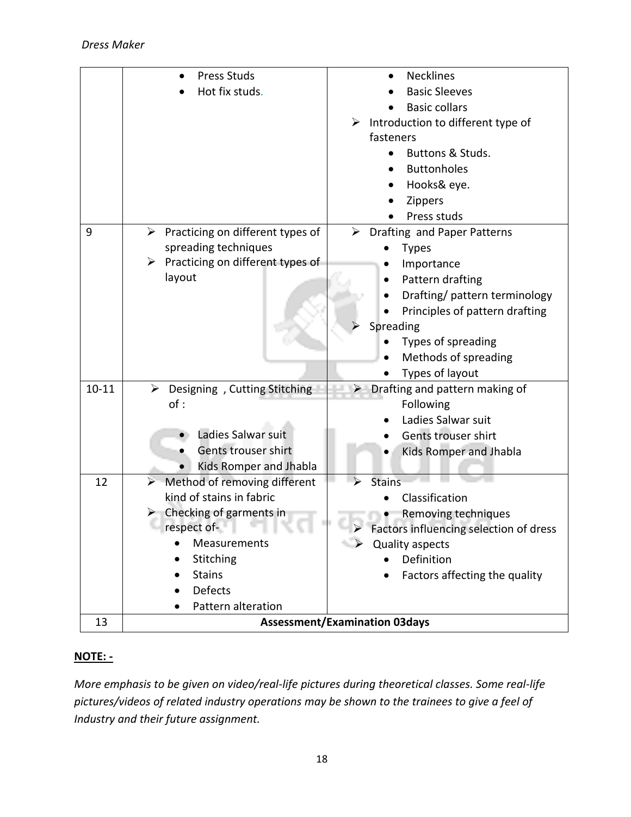*Dress Maker*

|           | <b>Press Studs</b>                                | <b>Necklines</b>                                        |
|-----------|---------------------------------------------------|---------------------------------------------------------|
|           | Hot fix studs.                                    | <b>Basic Sleeves</b>                                    |
|           |                                                   | <b>Basic collars</b>                                    |
|           |                                                   | Introduction to different type of<br>➤                  |
|           |                                                   | fasteners                                               |
|           |                                                   | Buttons & Studs.                                        |
|           |                                                   | <b>Buttonholes</b>                                      |
|           |                                                   | Hooks& eye.                                             |
|           |                                                   | Zippers                                                 |
|           |                                                   | Press studs                                             |
| 9         | Practicing on different types of<br>➤             | ➤<br>Drafting and Paper Patterns                        |
|           | spreading techniques                              | <b>Types</b>                                            |
|           | $\triangleright$ Practicing on different types of | Importance                                              |
|           | layout                                            | Pattern drafting                                        |
|           |                                                   | Drafting/ pattern terminology                           |
|           |                                                   | Principles of pattern drafting                          |
|           |                                                   | Spreading                                               |
|           |                                                   | Types of spreading                                      |
|           |                                                   | Methods of spreading                                    |
|           |                                                   | Types of layout                                         |
| $10 - 11$ | Designing, Cutting Stitching<br>➤                 | Drafting and pattern making of                          |
|           | of:                                               | Following                                               |
|           |                                                   | Ladies Salwar suit                                      |
|           | Ladies Salwar suit                                | Gents trouser shirt                                     |
|           | Gents trouser shirt                               | Kids Romper and Jhabla                                  |
|           | Kids Romper and Jhabla                            |                                                         |
| 12        | Method of removing different                      | <b>Stains</b>                                           |
|           | kind of stains in fabric                          | Classification                                          |
|           | Checking of garments in<br>➤                      | Removing techniques                                     |
|           | respect of -                                      | $\triangleright$ Factors influencing selection of dress |
|           | Measurements                                      | <b>Quality aspects</b><br>$\rightarrow$                 |
|           | Stitching                                         | Definition                                              |
|           | <b>Stains</b>                                     | Factors affecting the quality                           |
|           | <b>Defects</b>                                    |                                                         |
|           | Pattern alteration                                |                                                         |
| 13        |                                                   | <b>Assessment/Examination 03days</b>                    |

#### **NOTE: -**

*More emphasis to be given on video/real-life pictures during theoretical classes. Some real-life pictures/videos of related industry operations may be shown to the trainees to give a feel of Industry and their future assignment.*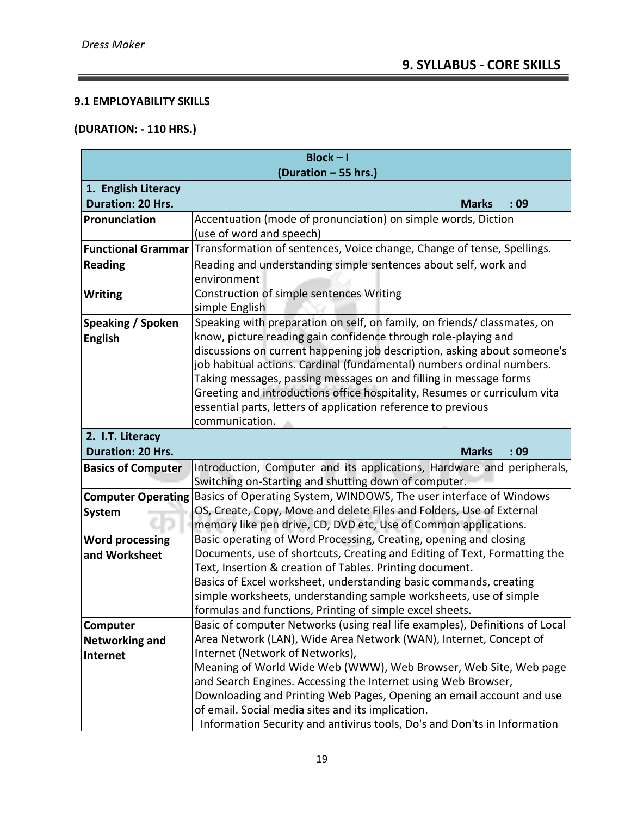#### **9.1 EMPLOYABILITY SKILLS**

<u>a sa mga salawang pagkalang ng mga sangang ng mga sangang ng mga sangang ng mga sangang ng mga sangang ng mga </u>

#### **(DURATION: - 110 HRS.)**

| $Block - I$<br>(Duration - 55 hrs.)             |                                                                                                                                                  |  |  |  |  |  |  |
|-------------------------------------------------|--------------------------------------------------------------------------------------------------------------------------------------------------|--|--|--|--|--|--|
|                                                 |                                                                                                                                                  |  |  |  |  |  |  |
| 1. English Literacy<br><b>Duration: 20 Hrs.</b> | :09<br><b>Marks</b>                                                                                                                              |  |  |  |  |  |  |
| Pronunciation                                   | Accentuation (mode of pronunciation) on simple words, Diction                                                                                    |  |  |  |  |  |  |
|                                                 | (use of word and speech)                                                                                                                         |  |  |  |  |  |  |
|                                                 | Functional Grammar Transformation of sentences, Voice change, Change of tense, Spellings.                                                        |  |  |  |  |  |  |
| <b>Reading</b>                                  | Reading and understanding simple sentences about self, work and                                                                                  |  |  |  |  |  |  |
|                                                 | environment                                                                                                                                      |  |  |  |  |  |  |
| <b>Writing</b>                                  | Construction of simple sentences Writing                                                                                                         |  |  |  |  |  |  |
|                                                 | simple English                                                                                                                                   |  |  |  |  |  |  |
| Speaking / Spoken                               | Speaking with preparation on self, on family, on friends/ classmates, on                                                                         |  |  |  |  |  |  |
| <b>English</b>                                  | know, picture reading gain confidence through role-playing and                                                                                   |  |  |  |  |  |  |
|                                                 | discussions on current happening job description, asking about someone's                                                                         |  |  |  |  |  |  |
|                                                 | job habitual actions. Cardinal (fundamental) numbers ordinal numbers.                                                                            |  |  |  |  |  |  |
|                                                 | Taking messages, passing messages on and filling in message forms                                                                                |  |  |  |  |  |  |
|                                                 | Greeting and introductions office hospitality, Resumes or curriculum vita<br>essential parts, letters of application reference to previous       |  |  |  |  |  |  |
|                                                 | communication.                                                                                                                                   |  |  |  |  |  |  |
| 2. I.T. Literacy                                |                                                                                                                                                  |  |  |  |  |  |  |
|                                                 |                                                                                                                                                  |  |  |  |  |  |  |
| <b>Duration: 20 Hrs.</b>                        | <b>Marks</b><br>:09                                                                                                                              |  |  |  |  |  |  |
| <b>Basics of Computer</b>                       | Introduction, Computer and its applications, Hardware and peripherals,                                                                           |  |  |  |  |  |  |
|                                                 | Switching on-Starting and shutting down of computer.                                                                                             |  |  |  |  |  |  |
| <b>Computer Operating</b>                       | Basics of Operating System, WINDOWS, The user interface of Windows                                                                               |  |  |  |  |  |  |
| System                                          | OS, Create, Copy, Move and delete Files and Folders, Use of External                                                                             |  |  |  |  |  |  |
|                                                 | memory like pen drive, CD, DVD etc, Use of Common applications.                                                                                  |  |  |  |  |  |  |
| <b>Word processing</b>                          | Basic operating of Word Processing, Creating, opening and closing                                                                                |  |  |  |  |  |  |
| and Worksheet                                   | Documents, use of shortcuts, Creating and Editing of Text, Formatting the                                                                        |  |  |  |  |  |  |
|                                                 | Text, Insertion & creation of Tables. Printing document.                                                                                         |  |  |  |  |  |  |
|                                                 | Basics of Excel worksheet, understanding basic commands, creating                                                                                |  |  |  |  |  |  |
|                                                 | simple worksheets, understanding sample worksheets, use of simple                                                                                |  |  |  |  |  |  |
|                                                 | formulas and functions, Printing of simple excel sheets.                                                                                         |  |  |  |  |  |  |
| Computer                                        | Basic of computer Networks (using real life examples), Definitions of Local<br>Area Network (LAN), Wide Area Network (WAN), Internet, Concept of |  |  |  |  |  |  |
| <b>Networking and</b>                           | Internet (Network of Networks),                                                                                                                  |  |  |  |  |  |  |
| <b>Internet</b>                                 | Meaning of World Wide Web (WWW), Web Browser, Web Site, Web page                                                                                 |  |  |  |  |  |  |
|                                                 | and Search Engines. Accessing the Internet using Web Browser,                                                                                    |  |  |  |  |  |  |
|                                                 | Downloading and Printing Web Pages, Opening an email account and use                                                                             |  |  |  |  |  |  |
|                                                 | of email. Social media sites and its implication.<br>Information Security and antivirus tools, Do's and Don'ts in Information                    |  |  |  |  |  |  |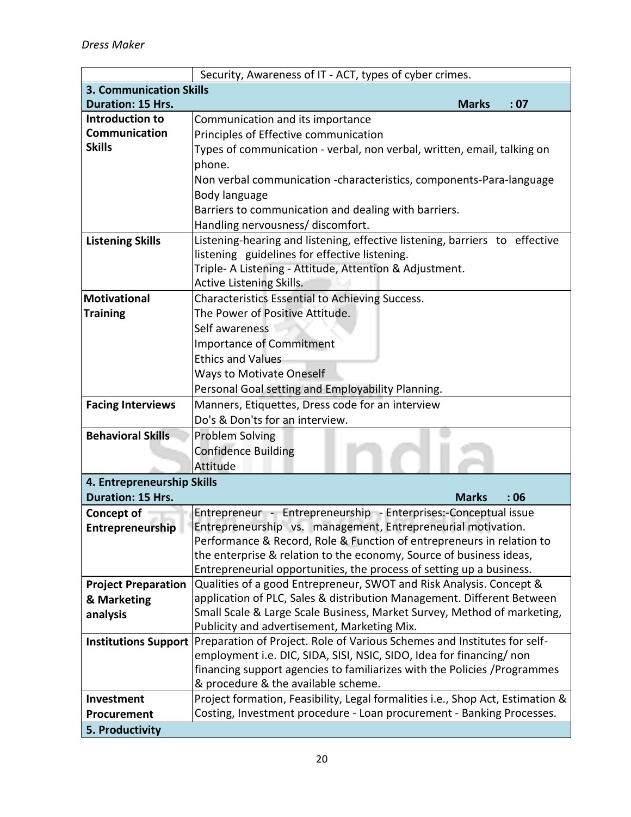|                                | Security, Awareness of IT - ACT, types of cyber crimes.                                                                                      |  |  |  |  |  |  |  |  |
|--------------------------------|----------------------------------------------------------------------------------------------------------------------------------------------|--|--|--|--|--|--|--|--|
| <b>3. Communication Skills</b> |                                                                                                                                              |  |  |  |  |  |  |  |  |
| Duration: 15 Hrs.              | <b>Marks</b><br>:07                                                                                                                          |  |  |  |  |  |  |  |  |
| Introduction to                | Communication and its importance                                                                                                             |  |  |  |  |  |  |  |  |
| Communication                  | Principles of Effective communication                                                                                                        |  |  |  |  |  |  |  |  |
| <b>Skills</b>                  | Types of communication - verbal, non verbal, written, email, talking on                                                                      |  |  |  |  |  |  |  |  |
|                                | phone.                                                                                                                                       |  |  |  |  |  |  |  |  |
|                                | Non verbal communication -characteristics, components-Para-language                                                                          |  |  |  |  |  |  |  |  |
|                                | Body language                                                                                                                                |  |  |  |  |  |  |  |  |
|                                | Barriers to communication and dealing with barriers.                                                                                         |  |  |  |  |  |  |  |  |
|                                | Handling nervousness/ discomfort.                                                                                                            |  |  |  |  |  |  |  |  |
| <b>Listening Skills</b>        | Listening-hearing and listening, effective listening, barriers to effective                                                                  |  |  |  |  |  |  |  |  |
|                                | listening guidelines for effective listening.                                                                                                |  |  |  |  |  |  |  |  |
|                                | Triple- A Listening - Attitude, Attention & Adjustment.                                                                                      |  |  |  |  |  |  |  |  |
|                                | Active Listening Skills.                                                                                                                     |  |  |  |  |  |  |  |  |
| <b>Motivational</b>            | Characteristics Essential to Achieving Success.                                                                                              |  |  |  |  |  |  |  |  |
| <b>Training</b>                | The Power of Positive Attitude.                                                                                                              |  |  |  |  |  |  |  |  |
|                                | Self awareness                                                                                                                               |  |  |  |  |  |  |  |  |
|                                | <b>Importance of Commitment</b>                                                                                                              |  |  |  |  |  |  |  |  |
|                                | <b>Ethics and Values</b>                                                                                                                     |  |  |  |  |  |  |  |  |
|                                | <b>Ways to Motivate Oneself</b>                                                                                                              |  |  |  |  |  |  |  |  |
|                                | Personal Goal setting and Employability Planning.                                                                                            |  |  |  |  |  |  |  |  |
| <b>Facing Interviews</b>       | Manners, Etiquettes, Dress code for an interview                                                                                             |  |  |  |  |  |  |  |  |
|                                | Do's & Don'ts for an interview.                                                                                                              |  |  |  |  |  |  |  |  |
| <b>Behavioral Skills</b>       | <b>Problem Solving</b>                                                                                                                       |  |  |  |  |  |  |  |  |
|                                | <b>Confidence Building</b>                                                                                                                   |  |  |  |  |  |  |  |  |
|                                | Attitude                                                                                                                                     |  |  |  |  |  |  |  |  |
| 4. Entrepreneurship Skills     |                                                                                                                                              |  |  |  |  |  |  |  |  |
| <b>Duration: 15 Hrs.</b>       | <b>Marks</b><br>:06                                                                                                                          |  |  |  |  |  |  |  |  |
| Concept of                     | Entrepreneur - Entrepreneurship - Enterprises:-Conceptual issue                                                                              |  |  |  |  |  |  |  |  |
| <b>Entrepreneurship</b>        | Entrepreneurship vs. management, Entrepreneurial motivation                                                                                  |  |  |  |  |  |  |  |  |
|                                | Performance & Record, Role & Function of entrepreneurs in relation to<br>the enterprise & relation to the economy, Source of business ideas, |  |  |  |  |  |  |  |  |
|                                | Entrepreneurial opportunities, the process of setting up a business.                                                                         |  |  |  |  |  |  |  |  |
| <b>Project Preparation</b>     | Qualities of a good Entrepreneur, SWOT and Risk Analysis. Concept &                                                                          |  |  |  |  |  |  |  |  |
| & Marketing                    | application of PLC, Sales & distribution Management. Different Between                                                                       |  |  |  |  |  |  |  |  |
| analysis                       | Small Scale & Large Scale Business, Market Survey, Method of marketing,                                                                      |  |  |  |  |  |  |  |  |
|                                | Publicity and advertisement, Marketing Mix.                                                                                                  |  |  |  |  |  |  |  |  |
|                                | Institutions Support Preparation of Project. Role of Various Schemes and Institutes for self-                                                |  |  |  |  |  |  |  |  |
|                                | employment i.e. DIC, SIDA, SISI, NSIC, SIDO, Idea for financing/ non                                                                         |  |  |  |  |  |  |  |  |
|                                | financing support agencies to familiarizes with the Policies / Programmes                                                                    |  |  |  |  |  |  |  |  |
|                                | & procedure & the available scheme.                                                                                                          |  |  |  |  |  |  |  |  |
| Investment                     | Project formation, Feasibility, Legal formalities i.e., Shop Act, Estimation &                                                               |  |  |  |  |  |  |  |  |
| Procurement                    | Costing, Investment procedure - Loan procurement - Banking Processes.                                                                        |  |  |  |  |  |  |  |  |
| 5. Productivity                |                                                                                                                                              |  |  |  |  |  |  |  |  |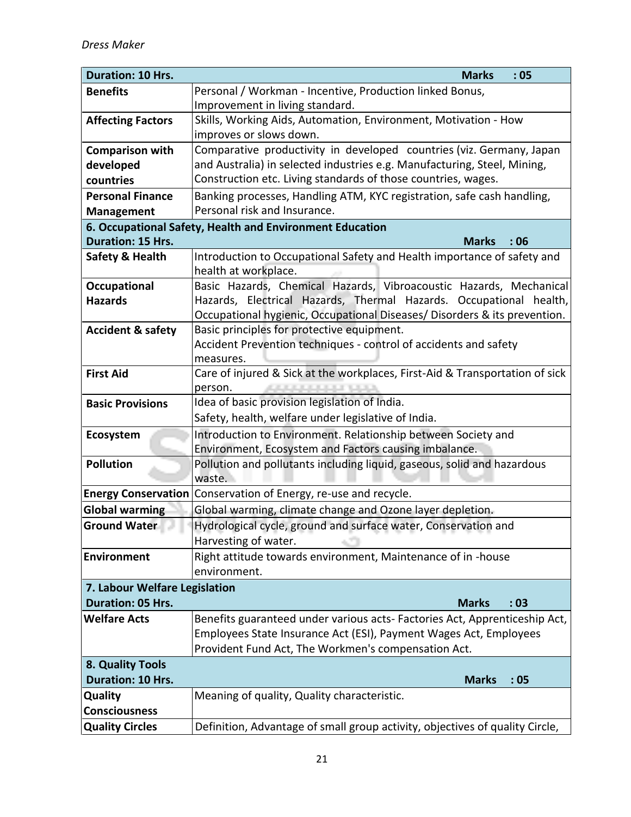| Duration: 10 Hrs.             | :05<br><b>Marks</b>                                                                                                    |  |  |  |  |  |  |  |
|-------------------------------|------------------------------------------------------------------------------------------------------------------------|--|--|--|--|--|--|--|
| <b>Benefits</b>               | Personal / Workman - Incentive, Production linked Bonus,                                                               |  |  |  |  |  |  |  |
|                               | Improvement in living standard.                                                                                        |  |  |  |  |  |  |  |
| <b>Affecting Factors</b>      | Skills, Working Aids, Automation, Environment, Motivation - How                                                        |  |  |  |  |  |  |  |
|                               | improves or slows down.                                                                                                |  |  |  |  |  |  |  |
| <b>Comparison with</b>        | Comparative productivity in developed countries (viz. Germany, Japan                                                   |  |  |  |  |  |  |  |
| developed                     | and Australia) in selected industries e.g. Manufacturing, Steel, Mining,                                               |  |  |  |  |  |  |  |
| countries                     | Construction etc. Living standards of those countries, wages.                                                          |  |  |  |  |  |  |  |
| <b>Personal Finance</b>       | Banking processes, Handling ATM, KYC registration, safe cash handling,                                                 |  |  |  |  |  |  |  |
| <b>Management</b>             | Personal risk and Insurance.                                                                                           |  |  |  |  |  |  |  |
|                               | 6. Occupational Safety, Health and Environment Education                                                               |  |  |  |  |  |  |  |
| Duration: 15 Hrs.             | <b>Marks</b><br>:06                                                                                                    |  |  |  |  |  |  |  |
| <b>Safety &amp; Health</b>    | Introduction to Occupational Safety and Health importance of safety and                                                |  |  |  |  |  |  |  |
|                               | health at workplace.                                                                                                   |  |  |  |  |  |  |  |
| Occupational                  | Basic Hazards, Chemical Hazards, Vibroacoustic Hazards, Mechanical                                                     |  |  |  |  |  |  |  |
| <b>Hazards</b>                | Hazards, Electrical Hazards, Thermal Hazards. Occupational health,                                                     |  |  |  |  |  |  |  |
|                               | Occupational hygienic, Occupational Diseases/ Disorders & its prevention.                                              |  |  |  |  |  |  |  |
| <b>Accident &amp; safety</b>  | Basic principles for protective equipment.                                                                             |  |  |  |  |  |  |  |
|                               | Accident Prevention techniques - control of accidents and safety                                                       |  |  |  |  |  |  |  |
|                               | measures.                                                                                                              |  |  |  |  |  |  |  |
| <b>First Aid</b>              | Care of injured & Sick at the workplaces, First-Aid & Transportation of sick<br>person.                                |  |  |  |  |  |  |  |
|                               | Idea of basic provision legislation of India.                                                                          |  |  |  |  |  |  |  |
| <b>Basic Provisions</b>       | Safety, health, welfare under legislative of India.                                                                    |  |  |  |  |  |  |  |
|                               |                                                                                                                        |  |  |  |  |  |  |  |
| Ecosystem                     | Introduction to Environment. Relationship between Society and<br>Environment, Ecosystem and Factors causing imbalance. |  |  |  |  |  |  |  |
| <b>Pollution</b>              | Pollution and pollutants including liquid, gaseous, solid and hazardous                                                |  |  |  |  |  |  |  |
|                               | waste.                                                                                                                 |  |  |  |  |  |  |  |
|                               | <b>Energy Conservation</b> Conservation of Energy, re-use and recycle.                                                 |  |  |  |  |  |  |  |
| <b>Global warming</b>         | Global warming, climate change and Ozone layer depletion.                                                              |  |  |  |  |  |  |  |
| <b>Ground Water</b>           | Hydrological cycle, ground and surface water, Conservation and                                                         |  |  |  |  |  |  |  |
|                               | Harvesting of water.                                                                                                   |  |  |  |  |  |  |  |
| <b>Environment</b>            | Right attitude towards environment, Maintenance of in -house                                                           |  |  |  |  |  |  |  |
|                               | environment.                                                                                                           |  |  |  |  |  |  |  |
| 7. Labour Welfare Legislation |                                                                                                                        |  |  |  |  |  |  |  |
| <b>Duration: 05 Hrs.</b>      | <b>Marks</b><br>:03                                                                                                    |  |  |  |  |  |  |  |
| <b>Welfare Acts</b>           | Benefits guaranteed under various acts- Factories Act, Apprenticeship Act,                                             |  |  |  |  |  |  |  |
|                               | Employees State Insurance Act (ESI), Payment Wages Act, Employees                                                      |  |  |  |  |  |  |  |
|                               | Provident Fund Act, The Workmen's compensation Act.                                                                    |  |  |  |  |  |  |  |
| 8. Quality Tools              |                                                                                                                        |  |  |  |  |  |  |  |
| <b>Duration: 10 Hrs.</b>      | <b>Marks</b><br>:05                                                                                                    |  |  |  |  |  |  |  |
| Quality                       | Meaning of quality, Quality characteristic.                                                                            |  |  |  |  |  |  |  |
| <b>Consciousness</b>          |                                                                                                                        |  |  |  |  |  |  |  |
| <b>Quality Circles</b>        | Definition, Advantage of small group activity, objectives of quality Circle,                                           |  |  |  |  |  |  |  |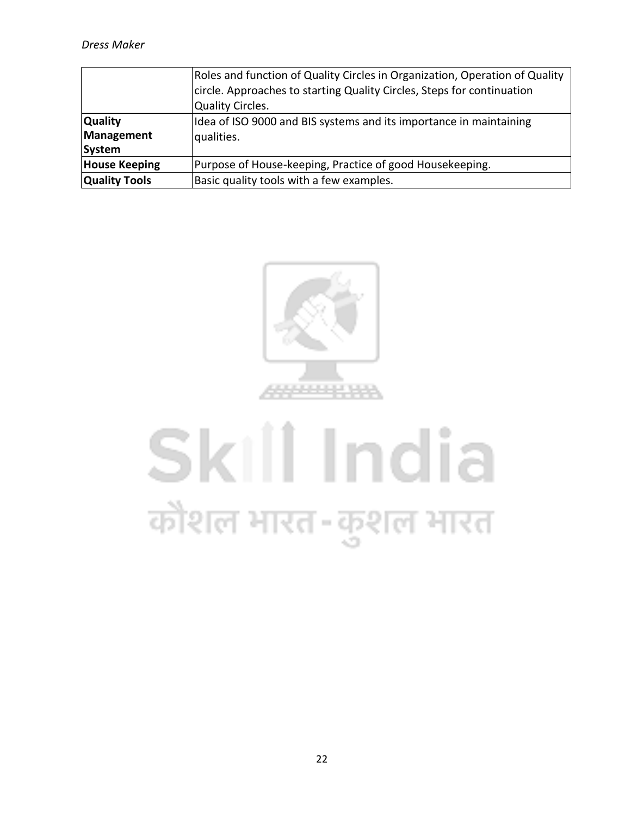|                      | Roles and function of Quality Circles in Organization, Operation of Quality |  |  |  |  |  |  |
|----------------------|-----------------------------------------------------------------------------|--|--|--|--|--|--|
|                      | circle. Approaches to starting Quality Circles, Steps for continuation      |  |  |  |  |  |  |
|                      | Quality Circles.                                                            |  |  |  |  |  |  |
| <b>Quality</b>       | Idea of ISO 9000 and BIS systems and its importance in maintaining          |  |  |  |  |  |  |
| Management           | qualities.                                                                  |  |  |  |  |  |  |
| System               |                                                                             |  |  |  |  |  |  |
| <b>House Keeping</b> | Purpose of House-keeping, Practice of good Housekeeping.                    |  |  |  |  |  |  |
| <b>Quality Tools</b> | Basic quality tools with a few examples.                                    |  |  |  |  |  |  |



### Skill India कौशल भारत-कुशल भारत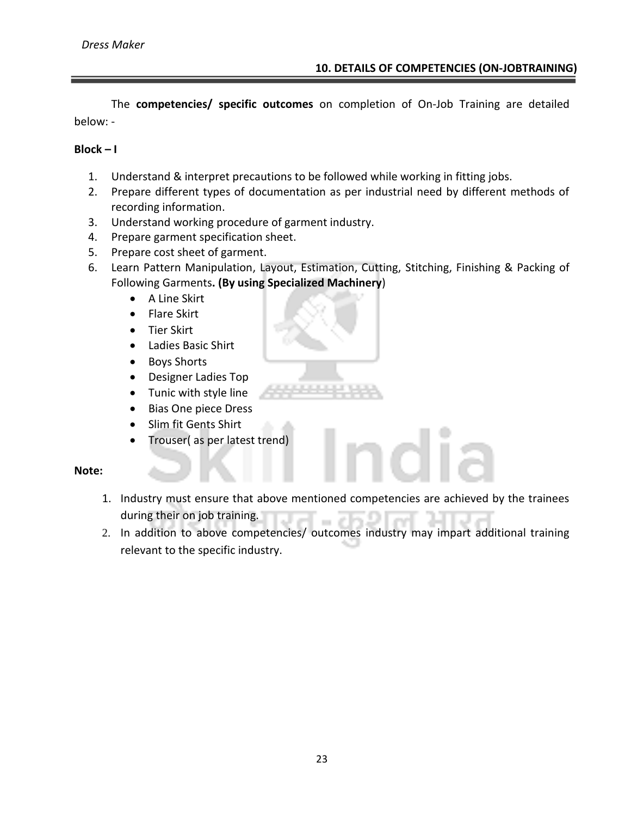The **competencies/ specific outcomes** on completion of On-Job Training are detailed below: -

#### **Block – I**

- 1. Understand & interpret precautions to be followed while working in fitting jobs.
- 2. Prepare different types of documentation as per industrial need by different methods of recording information.
- 3. Understand working procedure of garment industry.
- 4. Prepare garment specification sheet.
- 5. Prepare cost sheet of garment.
- 6. Learn Pattern Manipulation, Layout, Estimation, Cutting, Stitching, Finishing & Packing of Following Garments**. (By using Specialized Machinery**)
	- A Line Skirt
	- Flare Skirt
	- Tier Skirt
	- Ladies Basic Shirt
	- Boys Shorts
	- Designer Ladies Top
	- Tunic with style line
	- Bias One piece Dress
	- Slim fit Gents Shirt
	- Trouser( as per latest trend)

#### **Note:**

- 1. Industry must ensure that above mentioned competencies are achieved by the trainees during their on job training.
- 2. In addition to above competencies/ outcomes industry may impart additional training relevant to the specific industry.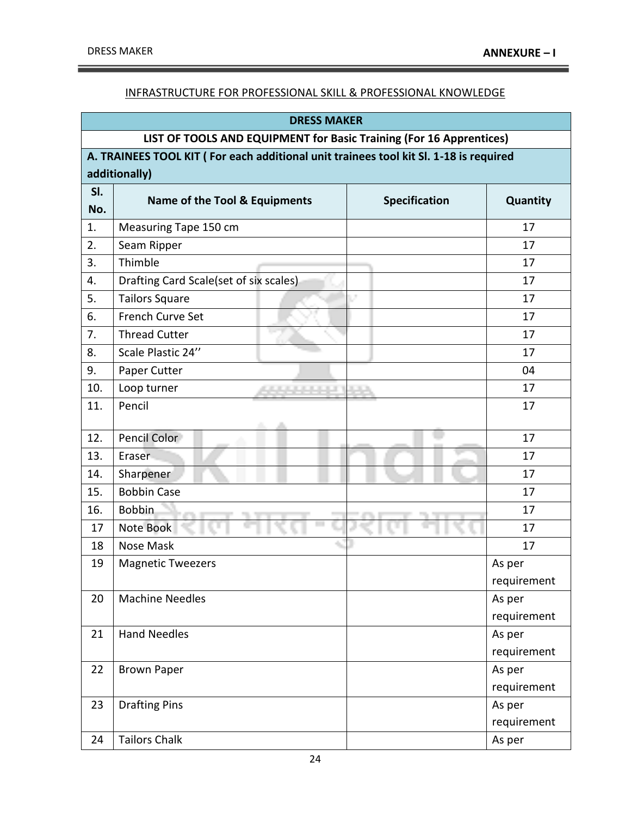#### INFRASTRUCTURE FOR PROFESSIONAL SKILL & PROFESSIONAL KNOWLEDGE

| <b>DRESS MAKER</b> |                                                                                       |             |  |  |  |  |  |  |  |
|--------------------|---------------------------------------------------------------------------------------|-------------|--|--|--|--|--|--|--|
|                    | LIST OF TOOLS AND EQUIPMENT for Basic Training (For 16 Apprentices)                   |             |  |  |  |  |  |  |  |
|                    | A. TRAINEES TOOL KIT (For each additional unit trainees tool kit Sl. 1-18 is required |             |  |  |  |  |  |  |  |
| additionally)      |                                                                                       |             |  |  |  |  |  |  |  |
| SI.                | Name of the Tool & Equipments<br>Specification                                        | Quantity    |  |  |  |  |  |  |  |
| No.                |                                                                                       |             |  |  |  |  |  |  |  |
| 1.                 | Measuring Tape 150 cm                                                                 | 17          |  |  |  |  |  |  |  |
| 2.                 | Seam Ripper                                                                           | 17          |  |  |  |  |  |  |  |
| 3.                 | Thimble                                                                               | 17          |  |  |  |  |  |  |  |
| 4.                 | Drafting Card Scale(set of six scales)                                                | 17          |  |  |  |  |  |  |  |
| 5.                 | <b>Tailors Square</b><br>U.                                                           | 17          |  |  |  |  |  |  |  |
| 6.                 | French Curve Set                                                                      | 17          |  |  |  |  |  |  |  |
| 7.                 | l a<br><b>Thread Cutter</b>                                                           | 17          |  |  |  |  |  |  |  |
| 8.                 | Scale Plastic 24"                                                                     | 17          |  |  |  |  |  |  |  |
| 9.                 | Paper Cutter                                                                          | 04          |  |  |  |  |  |  |  |
| 10.                | Loop turner<br>45                                                                     | 17          |  |  |  |  |  |  |  |
| 11.                | Pencil                                                                                | 17          |  |  |  |  |  |  |  |
|                    |                                                                                       |             |  |  |  |  |  |  |  |
| 12.                | Pencil Color                                                                          | 17          |  |  |  |  |  |  |  |
| 13.                | Eraser                                                                                | 17          |  |  |  |  |  |  |  |
| 14.                | Sharpener                                                                             | 17          |  |  |  |  |  |  |  |
| 15.                | <b>Bobbin Case</b>                                                                    | 17          |  |  |  |  |  |  |  |
| 16.                | <b>Bobbin</b>                                                                         | 17          |  |  |  |  |  |  |  |
| 17                 | Note Book                                                                             | 17          |  |  |  |  |  |  |  |
| 18                 | Nose Mask                                                                             | 17          |  |  |  |  |  |  |  |
| 19                 | <b>Magnetic Tweezers</b>                                                              | As per      |  |  |  |  |  |  |  |
|                    |                                                                                       | requirement |  |  |  |  |  |  |  |
| 20                 | <b>Machine Needles</b>                                                                | As per      |  |  |  |  |  |  |  |
|                    |                                                                                       | requirement |  |  |  |  |  |  |  |
| 21                 | <b>Hand Needles</b>                                                                   | As per      |  |  |  |  |  |  |  |
|                    |                                                                                       | requirement |  |  |  |  |  |  |  |
| 22                 | <b>Brown Paper</b>                                                                    | As per      |  |  |  |  |  |  |  |
|                    |                                                                                       | requirement |  |  |  |  |  |  |  |
| 23                 | <b>Drafting Pins</b>                                                                  | As per      |  |  |  |  |  |  |  |
|                    |                                                                                       | requirement |  |  |  |  |  |  |  |
| 24                 | <b>Tailors Chalk</b>                                                                  | As per      |  |  |  |  |  |  |  |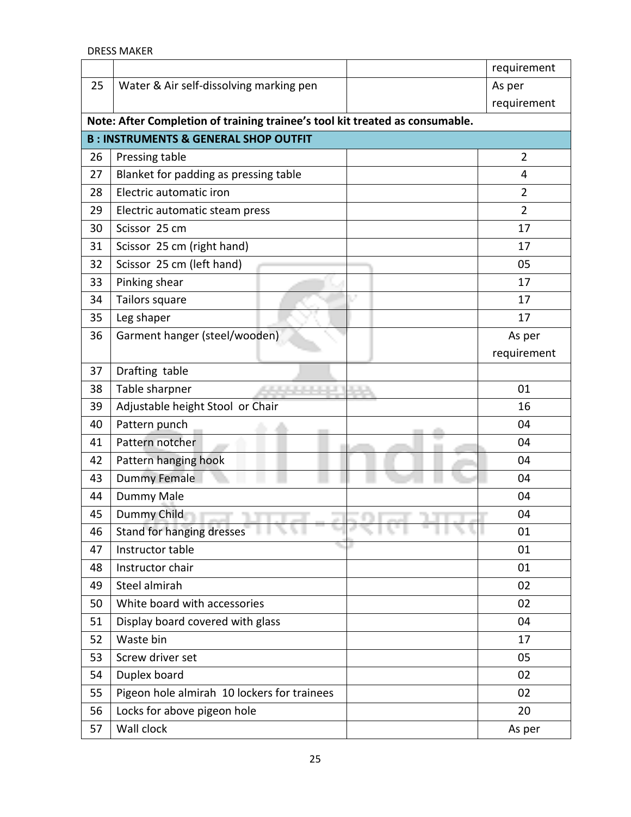DRESS MAKER

|                                                                              |                                                 | requirement    |  |  |  |  |  |  |
|------------------------------------------------------------------------------|-------------------------------------------------|----------------|--|--|--|--|--|--|
| 25                                                                           | Water & Air self-dissolving marking pen         | As per         |  |  |  |  |  |  |
|                                                                              |                                                 | requirement    |  |  |  |  |  |  |
| Note: After Completion of training trainee's tool kit treated as consumable. |                                                 |                |  |  |  |  |  |  |
|                                                                              | <b>B: INSTRUMENTS &amp; GENERAL SHOP OUTFIT</b> |                |  |  |  |  |  |  |
| 26                                                                           | Pressing table                                  | $\overline{2}$ |  |  |  |  |  |  |
| 27                                                                           | Blanket for padding as pressing table           | 4              |  |  |  |  |  |  |
| 28                                                                           | Electric automatic iron                         | $\overline{2}$ |  |  |  |  |  |  |
| 29                                                                           | Electric automatic steam press                  | $\overline{2}$ |  |  |  |  |  |  |
| 30                                                                           | Scissor 25 cm                                   | 17             |  |  |  |  |  |  |
| 31                                                                           | Scissor 25 cm (right hand)                      | 17             |  |  |  |  |  |  |
| 32                                                                           | Scissor 25 cm (left hand)                       | 05             |  |  |  |  |  |  |
| 33                                                                           | Pinking shear                                   | 17             |  |  |  |  |  |  |
| 34                                                                           | Tailors square                                  | 17             |  |  |  |  |  |  |
| 35                                                                           | Leg shaper                                      | 17             |  |  |  |  |  |  |
| 36                                                                           | Garment hanger (steel/wooden)                   | As per         |  |  |  |  |  |  |
|                                                                              |                                                 | requirement    |  |  |  |  |  |  |
| 37                                                                           | Drafting table                                  |                |  |  |  |  |  |  |
| 38                                                                           | Table sharpner                                  | 01             |  |  |  |  |  |  |
| 39                                                                           | Adjustable height Stool or Chair                | 16             |  |  |  |  |  |  |
| 40                                                                           | Pattern punch                                   | 04             |  |  |  |  |  |  |
| 41                                                                           | Pattern notcher                                 | 04             |  |  |  |  |  |  |
| 42                                                                           | Pattern hanging hook                            | 04             |  |  |  |  |  |  |
| 43                                                                           | Dummy Female                                    | 04             |  |  |  |  |  |  |
| 44                                                                           | Dummy Male                                      | 04             |  |  |  |  |  |  |
| 45                                                                           | Dummy Child                                     | 04             |  |  |  |  |  |  |
| 46                                                                           | Stand for hanging dresses                       | 01             |  |  |  |  |  |  |
| 47                                                                           | Instructor table                                | 01             |  |  |  |  |  |  |
| 48                                                                           | Instructor chair                                | 01             |  |  |  |  |  |  |
| 49                                                                           | Steel almirah                                   | 02             |  |  |  |  |  |  |
| 50                                                                           | White board with accessories                    | 02             |  |  |  |  |  |  |
| 51                                                                           | Display board covered with glass                | 04             |  |  |  |  |  |  |
| 52                                                                           | Waste bin                                       | 17             |  |  |  |  |  |  |
| 53                                                                           | Screw driver set                                | 05             |  |  |  |  |  |  |
| 54                                                                           | Duplex board                                    | 02             |  |  |  |  |  |  |
| 55                                                                           | Pigeon hole almirah 10 lockers for trainees     | 02             |  |  |  |  |  |  |
| 56                                                                           | Locks for above pigeon hole                     | 20             |  |  |  |  |  |  |
| 57                                                                           | Wall clock                                      | As per         |  |  |  |  |  |  |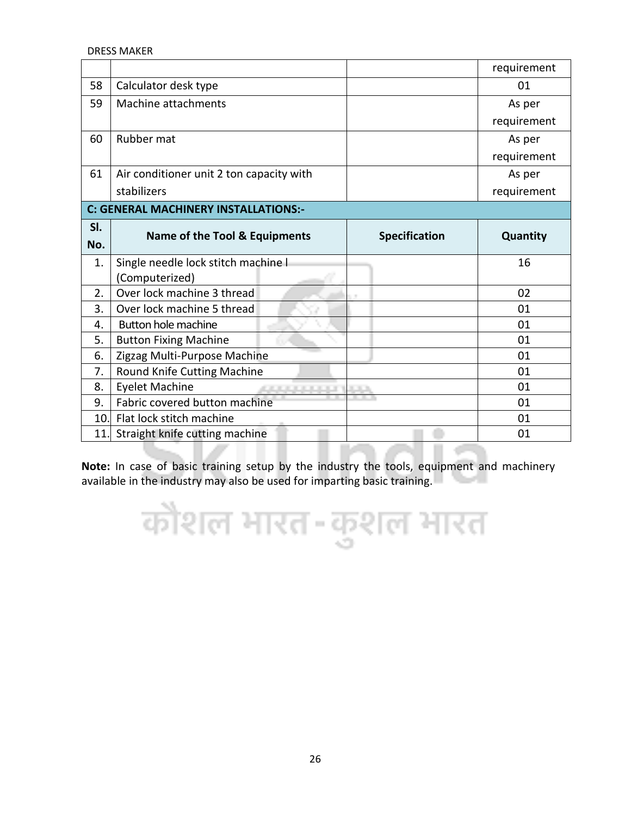DRESS MAKER

|     |                                          |                      | requirement |  |  |
|-----|------------------------------------------|----------------------|-------------|--|--|
| 58  | Calculator desk type                     |                      | 01          |  |  |
| 59  | Machine attachments                      |                      | As per      |  |  |
|     |                                          |                      | requirement |  |  |
| 60  | Rubber mat                               |                      | As per      |  |  |
|     |                                          |                      | requirement |  |  |
| 61  | Air conditioner unit 2 ton capacity with |                      | As per      |  |  |
|     | stabilizers                              |                      | requirement |  |  |
|     | C: GENERAL MACHINERY INSTALLATIONS:-     |                      |             |  |  |
| SI. |                                          |                      |             |  |  |
| No. | Name of the Tool & Equipments            | <b>Specification</b> | Quantity    |  |  |
|     |                                          |                      |             |  |  |
| 1.  | Single needle lock stitch machine I      |                      | 16          |  |  |
|     | (Computerized)                           |                      |             |  |  |
| 2.  | Over lock machine 3 thread               |                      | 02          |  |  |
| 3.  | Over lock machine 5 thread               |                      | 01          |  |  |
| 4.  | Button hole machine                      |                      | 01          |  |  |
| 5.  | <b>Button Fixing Machine</b>             |                      | 01          |  |  |
| 6.  | Zigzag Multi-Purpose Machine             |                      | 01          |  |  |
| 7.  | Round Knife Cutting Machine              |                      | 01          |  |  |
| 8.  | <b>Eyelet Machine</b>                    |                      | 01          |  |  |
| 9.  | Fabric covered button machine            |                      | 01          |  |  |
| 10. | Flat lock stitch machine                 |                      | 01          |  |  |

**Note:** In case of basic training setup by the industry the tools, equipment and machinery available in the industry may also be used for imparting basic training.

कौशल भारत-कुशल भारत